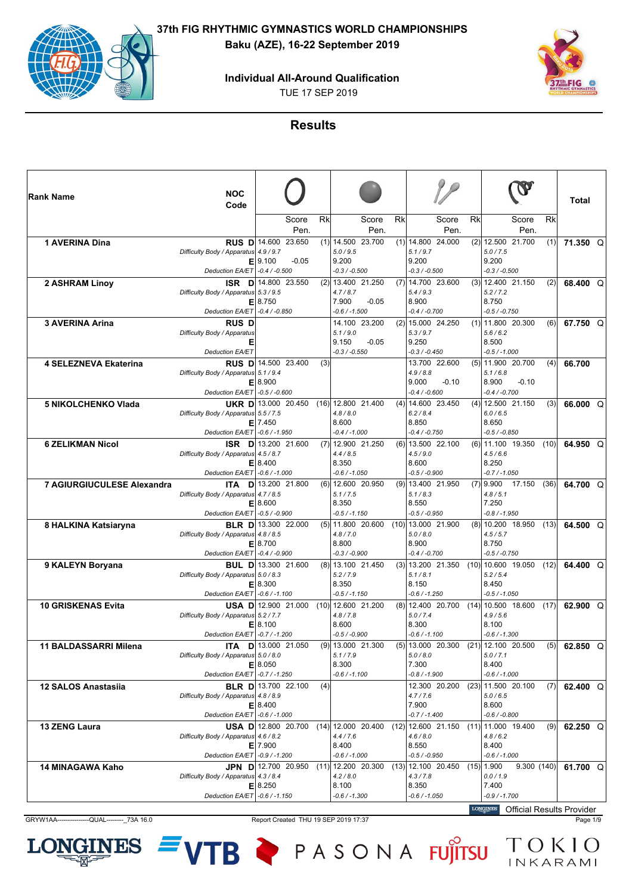**Individual All-Around Qualification**

TUE 17 SEP 2019



### **Results**

| Rk<br>Rk<br>Score<br>Rk<br>Rk<br>Score<br>Score<br>Score<br>Pen.<br>Pen.<br>Pen.<br>Pen.<br>$(2)$ 12.500 21.700<br>1 AVERINA Dina<br>RUS D 14.600 23.650<br>$(1)$ 14.500 23.700<br>$(1)$ 14.800 24.000<br>(1)<br>71.350 Q<br>5.0 / 9.5<br>5.1 / 9.7<br>5.0 / 7.5<br>Difficulty Body / Apparatus<br>4.9/9.7<br>9.100<br>9.200<br>9.200<br>9.200<br>$-0.05$<br>Е<br>$-0.4 / -0.500$<br>$-0.3 / -0.500$<br>$-0.3 / -0.500$<br>$-0.3 / -0.500$<br><b>Deduction EA/ET</b><br>14.800 23.550<br>(2) 13.400 21.250<br>$(7)$ 14.700 23.600<br>$(3)$   12.400 21.150<br>2 ASHRAM Linoy<br>(2)<br><b>ISR</b><br>- D<br>68.400 Q<br>5.4 / 9.3<br>5.2 / 7.2<br>Difficulty Body / Apparatus<br>5.3 / 9.5<br>4.7/8.7<br>8.750<br>7.900<br>$-0.05$<br>8.900<br>8.750<br>Е<br>Deduction EA/ET<br>$-0.4/ -0.850$<br>$-0.6 / -1.500$<br>$-0.4 / -0.700$<br>$-0.5 / -0.750$<br><b>3 AVERINA Arina</b><br>14.100 23.200<br>$(2)$ 15.000 24.250<br>$(1)$   11.800 20.300<br>67.750 Q<br><b>RUS D</b><br>(6)<br>5.6/6.2<br>Difficulty Body / Apparatus<br>5.1/9.0<br>5.3 / 9.7<br>8.500<br>9.150<br>$-0.05$<br>9.250<br>Е<br><b>Deduction EA/ET</b><br>$-0.3 / -0.550$<br>$-0.3 / -0.450$<br>$-0.5 / -1.000$<br>RUS D 14.500 23.400<br>13.700 22.600<br>$(5)$   11.900 20.700<br>4 SELEZNEVA Ekaterina<br>66.700<br>(3)<br>(4)<br>5.1/6.8<br>Difficulty Body / Apparatus<br>5.1/9.4<br>4.9/8.8<br>8.900<br>$-0.10$<br>8.900<br>9.000<br>$-0.10$<br>Е<br>$-0.5 / -0.600$<br>$-0.4 / -0.600$<br>$-0.4 / -0.700$<br><b>Deduction EA/ET</b><br><b>5 NIKOLCHENKO Vlada</b><br>13.000 20.450<br>$(16)$ 12.800 21.400<br>$(4)$ 14.600 23.450<br>$(4)$   12.500 21.150<br>(3)<br>UKR D<br>66.000 Q<br>6.0 / 6.5<br>Difficulty Body / Apparatus<br>5.5 / 7.5<br>4.8/8.0<br>6.2/8.4<br>7.450<br>8.600<br>8.850<br>8.650<br>E<br>Deduction EA/ET<br>$-0.6 / -1.950$<br>$-0.4/ -1.000$<br>-0.4 / -0.750<br>$-0.5 / -0.850$<br><b>6 ZELIKMAN Nicol</b><br>13.200 21.600<br>$(7)$ 12.900 21.250<br>$(6)$ 13.500 22.100<br>$(6)$   11.100 19.350<br>(10)<br>64.950 Q<br><b>ISR</b> DI<br>4.4/8.5<br>4.5/6.6<br>Difficulty Body / Apparatus<br>4.5 / 8.7<br>4.5/9.0<br>8.350<br>8.250<br>8.400<br>8.600<br>Е<br>$-0.6 / -1.000$<br>$-0.5 / -0.900$<br>Deduction EA/ET<br>$-0.6 / -1.050$<br>$-0.7 / -1.050$<br>13.200 21.800<br>$(6)$ 12.600 20.950<br>$(9)$ 13.400 21.950<br>$(7)$   9.900<br>17.150<br>7 AGIURGIUCULESE Alexandra<br>(36)<br>D<br>64.700 Q<br>ITA.<br>5.1 / 7.5<br>4.8/5.1<br>Difficulty Body / Apparatus<br>4.7/8.5<br>5.1/8.3<br>7.250<br>8.600<br>8.350<br>8.550<br>Е<br>$-0.5 / -0.900$<br><b>Deduction EA/ET</b><br>$-0.5 / -1.150$<br>$-0.5 / -0.950$<br>$-0.8 / -1.950$<br>8 HALKINA Katsiaryna<br>13.300 22.000<br>$(5)$ 11.800 20.600<br>$(10)$ 13.000 21.900<br>$(8)$   10.200 18.950<br><b>BLR</b> D<br>(13)<br>64.500 Q<br>4.5/5.7<br>4.8 / 8.5<br>4.8 / 7.0<br>5.0 / 8.0<br>Difficulty Body / Apparatus<br>8.700<br>8.800<br>8.900<br>8.750<br>Е<br>Deduction EA/ET<br>$-0.4 / -0.900$<br>$-0.3 / -0.900$<br>$-0.4 / -0.700$<br>$-0.5 / -0.750$<br>(8) 13.100 21.450<br>$(10)$   10.600 19.050<br>9 KALEYN Boryana<br>13.300 21.600<br>$(3)$   13.200 21.350<br>(12)<br>64.400 Q<br><b>BUL DI</b><br>5.2 / 5.4<br>Difficulty Body / Apparatus 5.0 / 8.3<br>5.2 / 7.9<br>5.1/8.1<br>8.300<br>8.350<br>8.150<br>8.450<br>Е<br>Deduction EA/ET<br>$-0.6 / -1.100$<br>$-0.5 / -1.150$<br>$-0.6 / -1.250$<br>$-0.5 / -1.050$<br>$(10)$ 12.600 21.200<br>$(8)$ 12.400 20.700<br>$(14)$   10.500 18.600<br><b>10 GRISKENAS Evita</b><br>12.900 21.000<br>(17)<br>62.900 Q<br>USA DI<br>5.0 / 7.4<br>4.9/5.6<br>Difficulty Body / Apparatus<br>5.2 / 7.7<br>4.8 / 7.8<br>8.100<br>8.100<br>8.600<br>8.300<br>Е<br>Deduction EA/ET<br>$-0.7 / -1.200$<br>$-0.5 / -0.900$<br>$-0.6 / -1.100$<br>$-0.6 / -1.300$<br><b>ITA D</b> 13.000 21.050<br>(9) 13.000 21.300<br>$(5)$   13.000 20.300<br>$(21)$   12.100 20.500<br>(5)<br>11 BALDASSARRI Milena<br>62.850 Q<br>Difficulty Body / Apparatus 5.0 / 8.0<br>5.1 / 7.9<br>5.0 / 8.0<br>5.0 / 7.1<br>8.300<br>7.300<br>E 8.050<br>8.400<br>Deduction EA/ET - 0.7 / -1.250<br>$-0.6 / -1.100$<br>$-0.8 / -1.900$<br>$-0.6 / -1.000$<br>12.300 20.200<br>$(23)$ 11.500 20.100<br><b>12 SALOS Anastasija</b><br><b>BLR D</b> 13.700 22.100<br>(4)<br>(7)<br>62.400 $Q$<br>Difficulty Body / Apparatus 4.8 / 8.9<br>5.0 / 6.5<br>4.7 / 7.6<br>E 8.400<br>7.900<br>8.600<br>Deduction EA/ET - 0.6 / -1.000<br>$-0.7 / -1.400$<br>$-0.6 / -0.800$<br>USA D 12.800 20.700<br>$(14)$   12.000 20.400<br>$(12)$ 12.600 21.150<br>$(11)$   11.000 19.400<br><b>13 ZENG Laura</b><br>(9)<br>62.250 $Q$<br>Difficulty Body / Apparatus 4.6 / 8.2<br>4.4/7.6<br>4.6 / 8.0<br>4.8/6.2<br>8.400<br>8.550<br>8.400<br>$E$   7.900<br>Deduction EA/ET - 0.9 / -1.200<br>$-0.6 / -1.000$<br>$-0.5 / -0.950$<br>$-0.6 / -1.000$<br><b>14 MINAGAWA Kaho</b><br>JPN D 12.700 20.950<br>$(11)$   12.200 20.300<br>$(13)$ 12.100 20.450<br>$(15)$   1.900<br>9.300(140)<br>61.700 $Q$<br>Difficulty Body / Apparatus 4.3 / 8.4<br>4.2 / 8.0<br>4.3 / 7.8<br>0.0 / 1.9<br>8.350<br>$E$   8.250<br>8.100<br>7.400<br>Deduction EA/ET -0.6 / -1.150<br>$-0.6 / -1.300$<br>$-0.6 / -1.050$<br>$-0.9 / -1.700$ | <b>Rank Name</b> | <b>NOC</b><br>Code |  |  |  |  |  | Total |  |
|------------------------------------------------------------------------------------------------------------------------------------------------------------------------------------------------------------------------------------------------------------------------------------------------------------------------------------------------------------------------------------------------------------------------------------------------------------------------------------------------------------------------------------------------------------------------------------------------------------------------------------------------------------------------------------------------------------------------------------------------------------------------------------------------------------------------------------------------------------------------------------------------------------------------------------------------------------------------------------------------------------------------------------------------------------------------------------------------------------------------------------------------------------------------------------------------------------------------------------------------------------------------------------------------------------------------------------------------------------------------------------------------------------------------------------------------------------------------------------------------------------------------------------------------------------------------------------------------------------------------------------------------------------------------------------------------------------------------------------------------------------------------------------------------------------------------------------------------------------------------------------------------------------------------------------------------------------------------------------------------------------------------------------------------------------------------------------------------------------------------------------------------------------------------------------------------------------------------------------------------------------------------------------------------------------------------------------------------------------------------------------------------------------------------------------------------------------------------------------------------------------------------------------------------------------------------------------------------------------------------------------------------------------------------------------------------------------------------------------------------------------------------------------------------------------------------------------------------------------------------------------------------------------------------------------------------------------------------------------------------------------------------------------------------------------------------------------------------------------------------------------------------------------------------------------------------------------------------------------------------------------------------------------------------------------------------------------------------------------------------------------------------------------------------------------------------------------------------------------------------------------------------------------------------------------------------------------------------------------------------------------------------------------------------------------------------------------------------------------------------------------------------------------------------------------------------------------------------------------------------------------------------------------------------------------------------------------------------------------------------------------------------------------------------------------------------------------------------------------------------------------------------------------------------------------------------------------------------------------------------------------------------------------------------------------------------------------------------------------------------------------------------------------------------------------------------------------------------------------------------------------------------------------------------------------------------------------------------------------------------------------------------------------------------------------------------------------------------------------------------------------------------------------------------------------------------------------------------------------------------------------------------------------------------------------------------------------------------------------------------------------------------------------------------------------------------------------------------------------------------------------------------------------------------------------------------------------------|------------------|--------------------|--|--|--|--|--|-------|--|
|                                                                                                                                                                                                                                                                                                                                                                                                                                                                                                                                                                                                                                                                                                                                                                                                                                                                                                                                                                                                                                                                                                                                                                                                                                                                                                                                                                                                                                                                                                                                                                                                                                                                                                                                                                                                                                                                                                                                                                                                                                                                                                                                                                                                                                                                                                                                                                                                                                                                                                                                                                                                                                                                                                                                                                                                                                                                                                                                                                                                                                                                                                                                                                                                                                                                                                                                                                                                                                                                                                                                                                                                                                                                                                                                                                                                                                                                                                                                                                                                                                                                                                                                                                                                                                                                                                                                                                                                                                                                                                                                                                                                                                                                                                                                                                                                                                                                                                                                                                                                                                                                                                                                                                                                                  |                  |                    |  |  |  |  |  |       |  |
|                                                                                                                                                                                                                                                                                                                                                                                                                                                                                                                                                                                                                                                                                                                                                                                                                                                                                                                                                                                                                                                                                                                                                                                                                                                                                                                                                                                                                                                                                                                                                                                                                                                                                                                                                                                                                                                                                                                                                                                                                                                                                                                                                                                                                                                                                                                                                                                                                                                                                                                                                                                                                                                                                                                                                                                                                                                                                                                                                                                                                                                                                                                                                                                                                                                                                                                                                                                                                                                                                                                                                                                                                                                                                                                                                                                                                                                                                                                                                                                                                                                                                                                                                                                                                                                                                                                                                                                                                                                                                                                                                                                                                                                                                                                                                                                                                                                                                                                                                                                                                                                                                                                                                                                                                  |                  |                    |  |  |  |  |  |       |  |
|                                                                                                                                                                                                                                                                                                                                                                                                                                                                                                                                                                                                                                                                                                                                                                                                                                                                                                                                                                                                                                                                                                                                                                                                                                                                                                                                                                                                                                                                                                                                                                                                                                                                                                                                                                                                                                                                                                                                                                                                                                                                                                                                                                                                                                                                                                                                                                                                                                                                                                                                                                                                                                                                                                                                                                                                                                                                                                                                                                                                                                                                                                                                                                                                                                                                                                                                                                                                                                                                                                                                                                                                                                                                                                                                                                                                                                                                                                                                                                                                                                                                                                                                                                                                                                                                                                                                                                                                                                                                                                                                                                                                                                                                                                                                                                                                                                                                                                                                                                                                                                                                                                                                                                                                                  |                  |                    |  |  |  |  |  |       |  |
|                                                                                                                                                                                                                                                                                                                                                                                                                                                                                                                                                                                                                                                                                                                                                                                                                                                                                                                                                                                                                                                                                                                                                                                                                                                                                                                                                                                                                                                                                                                                                                                                                                                                                                                                                                                                                                                                                                                                                                                                                                                                                                                                                                                                                                                                                                                                                                                                                                                                                                                                                                                                                                                                                                                                                                                                                                                                                                                                                                                                                                                                                                                                                                                                                                                                                                                                                                                                                                                                                                                                                                                                                                                                                                                                                                                                                                                                                                                                                                                                                                                                                                                                                                                                                                                                                                                                                                                                                                                                                                                                                                                                                                                                                                                                                                                                                                                                                                                                                                                                                                                                                                                                                                                                                  |                  |                    |  |  |  |  |  |       |  |
|                                                                                                                                                                                                                                                                                                                                                                                                                                                                                                                                                                                                                                                                                                                                                                                                                                                                                                                                                                                                                                                                                                                                                                                                                                                                                                                                                                                                                                                                                                                                                                                                                                                                                                                                                                                                                                                                                                                                                                                                                                                                                                                                                                                                                                                                                                                                                                                                                                                                                                                                                                                                                                                                                                                                                                                                                                                                                                                                                                                                                                                                                                                                                                                                                                                                                                                                                                                                                                                                                                                                                                                                                                                                                                                                                                                                                                                                                                                                                                                                                                                                                                                                                                                                                                                                                                                                                                                                                                                                                                                                                                                                                                                                                                                                                                                                                                                                                                                                                                                                                                                                                                                                                                                                                  |                  |                    |  |  |  |  |  |       |  |
|                                                                                                                                                                                                                                                                                                                                                                                                                                                                                                                                                                                                                                                                                                                                                                                                                                                                                                                                                                                                                                                                                                                                                                                                                                                                                                                                                                                                                                                                                                                                                                                                                                                                                                                                                                                                                                                                                                                                                                                                                                                                                                                                                                                                                                                                                                                                                                                                                                                                                                                                                                                                                                                                                                                                                                                                                                                                                                                                                                                                                                                                                                                                                                                                                                                                                                                                                                                                                                                                                                                                                                                                                                                                                                                                                                                                                                                                                                                                                                                                                                                                                                                                                                                                                                                                                                                                                                                                                                                                                                                                                                                                                                                                                                                                                                                                                                                                                                                                                                                                                                                                                                                                                                                                                  |                  |                    |  |  |  |  |  |       |  |
|                                                                                                                                                                                                                                                                                                                                                                                                                                                                                                                                                                                                                                                                                                                                                                                                                                                                                                                                                                                                                                                                                                                                                                                                                                                                                                                                                                                                                                                                                                                                                                                                                                                                                                                                                                                                                                                                                                                                                                                                                                                                                                                                                                                                                                                                                                                                                                                                                                                                                                                                                                                                                                                                                                                                                                                                                                                                                                                                                                                                                                                                                                                                                                                                                                                                                                                                                                                                                                                                                                                                                                                                                                                                                                                                                                                                                                                                                                                                                                                                                                                                                                                                                                                                                                                                                                                                                                                                                                                                                                                                                                                                                                                                                                                                                                                                                                                                                                                                                                                                                                                                                                                                                                                                                  |                  |                    |  |  |  |  |  |       |  |
|                                                                                                                                                                                                                                                                                                                                                                                                                                                                                                                                                                                                                                                                                                                                                                                                                                                                                                                                                                                                                                                                                                                                                                                                                                                                                                                                                                                                                                                                                                                                                                                                                                                                                                                                                                                                                                                                                                                                                                                                                                                                                                                                                                                                                                                                                                                                                                                                                                                                                                                                                                                                                                                                                                                                                                                                                                                                                                                                                                                                                                                                                                                                                                                                                                                                                                                                                                                                                                                                                                                                                                                                                                                                                                                                                                                                                                                                                                                                                                                                                                                                                                                                                                                                                                                                                                                                                                                                                                                                                                                                                                                                                                                                                                                                                                                                                                                                                                                                                                                                                                                                                                                                                                                                                  |                  |                    |  |  |  |  |  |       |  |
|                                                                                                                                                                                                                                                                                                                                                                                                                                                                                                                                                                                                                                                                                                                                                                                                                                                                                                                                                                                                                                                                                                                                                                                                                                                                                                                                                                                                                                                                                                                                                                                                                                                                                                                                                                                                                                                                                                                                                                                                                                                                                                                                                                                                                                                                                                                                                                                                                                                                                                                                                                                                                                                                                                                                                                                                                                                                                                                                                                                                                                                                                                                                                                                                                                                                                                                                                                                                                                                                                                                                                                                                                                                                                                                                                                                                                                                                                                                                                                                                                                                                                                                                                                                                                                                                                                                                                                                                                                                                                                                                                                                                                                                                                                                                                                                                                                                                                                                                                                                                                                                                                                                                                                                                                  |                  |                    |  |  |  |  |  |       |  |
|                                                                                                                                                                                                                                                                                                                                                                                                                                                                                                                                                                                                                                                                                                                                                                                                                                                                                                                                                                                                                                                                                                                                                                                                                                                                                                                                                                                                                                                                                                                                                                                                                                                                                                                                                                                                                                                                                                                                                                                                                                                                                                                                                                                                                                                                                                                                                                                                                                                                                                                                                                                                                                                                                                                                                                                                                                                                                                                                                                                                                                                                                                                                                                                                                                                                                                                                                                                                                                                                                                                                                                                                                                                                                                                                                                                                                                                                                                                                                                                                                                                                                                                                                                                                                                                                                                                                                                                                                                                                                                                                                                                                                                                                                                                                                                                                                                                                                                                                                                                                                                                                                                                                                                                                                  |                  |                    |  |  |  |  |  |       |  |
|                                                                                                                                                                                                                                                                                                                                                                                                                                                                                                                                                                                                                                                                                                                                                                                                                                                                                                                                                                                                                                                                                                                                                                                                                                                                                                                                                                                                                                                                                                                                                                                                                                                                                                                                                                                                                                                                                                                                                                                                                                                                                                                                                                                                                                                                                                                                                                                                                                                                                                                                                                                                                                                                                                                                                                                                                                                                                                                                                                                                                                                                                                                                                                                                                                                                                                                                                                                                                                                                                                                                                                                                                                                                                                                                                                                                                                                                                                                                                                                                                                                                                                                                                                                                                                                                                                                                                                                                                                                                                                                                                                                                                                                                                                                                                                                                                                                                                                                                                                                                                                                                                                                                                                                                                  |                  |                    |  |  |  |  |  |       |  |
|                                                                                                                                                                                                                                                                                                                                                                                                                                                                                                                                                                                                                                                                                                                                                                                                                                                                                                                                                                                                                                                                                                                                                                                                                                                                                                                                                                                                                                                                                                                                                                                                                                                                                                                                                                                                                                                                                                                                                                                                                                                                                                                                                                                                                                                                                                                                                                                                                                                                                                                                                                                                                                                                                                                                                                                                                                                                                                                                                                                                                                                                                                                                                                                                                                                                                                                                                                                                                                                                                                                                                                                                                                                                                                                                                                                                                                                                                                                                                                                                                                                                                                                                                                                                                                                                                                                                                                                                                                                                                                                                                                                                                                                                                                                                                                                                                                                                                                                                                                                                                                                                                                                                                                                                                  |                  |                    |  |  |  |  |  |       |  |
|                                                                                                                                                                                                                                                                                                                                                                                                                                                                                                                                                                                                                                                                                                                                                                                                                                                                                                                                                                                                                                                                                                                                                                                                                                                                                                                                                                                                                                                                                                                                                                                                                                                                                                                                                                                                                                                                                                                                                                                                                                                                                                                                                                                                                                                                                                                                                                                                                                                                                                                                                                                                                                                                                                                                                                                                                                                                                                                                                                                                                                                                                                                                                                                                                                                                                                                                                                                                                                                                                                                                                                                                                                                                                                                                                                                                                                                                                                                                                                                                                                                                                                                                                                                                                                                                                                                                                                                                                                                                                                                                                                                                                                                                                                                                                                                                                                                                                                                                                                                                                                                                                                                                                                                                                  |                  |                    |  |  |  |  |  |       |  |
|                                                                                                                                                                                                                                                                                                                                                                                                                                                                                                                                                                                                                                                                                                                                                                                                                                                                                                                                                                                                                                                                                                                                                                                                                                                                                                                                                                                                                                                                                                                                                                                                                                                                                                                                                                                                                                                                                                                                                                                                                                                                                                                                                                                                                                                                                                                                                                                                                                                                                                                                                                                                                                                                                                                                                                                                                                                                                                                                                                                                                                                                                                                                                                                                                                                                                                                                                                                                                                                                                                                                                                                                                                                                                                                                                                                                                                                                                                                                                                                                                                                                                                                                                                                                                                                                                                                                                                                                                                                                                                                                                                                                                                                                                                                                                                                                                                                                                                                                                                                                                                                                                                                                                                                                                  |                  |                    |  |  |  |  |  |       |  |
|                                                                                                                                                                                                                                                                                                                                                                                                                                                                                                                                                                                                                                                                                                                                                                                                                                                                                                                                                                                                                                                                                                                                                                                                                                                                                                                                                                                                                                                                                                                                                                                                                                                                                                                                                                                                                                                                                                                                                                                                                                                                                                                                                                                                                                                                                                                                                                                                                                                                                                                                                                                                                                                                                                                                                                                                                                                                                                                                                                                                                                                                                                                                                                                                                                                                                                                                                                                                                                                                                                                                                                                                                                                                                                                                                                                                                                                                                                                                                                                                                                                                                                                                                                                                                                                                                                                                                                                                                                                                                                                                                                                                                                                                                                                                                                                                                                                                                                                                                                                                                                                                                                                                                                                                                  |                  |                    |  |  |  |  |  |       |  |
|                                                                                                                                                                                                                                                                                                                                                                                                                                                                                                                                                                                                                                                                                                                                                                                                                                                                                                                                                                                                                                                                                                                                                                                                                                                                                                                                                                                                                                                                                                                                                                                                                                                                                                                                                                                                                                                                                                                                                                                                                                                                                                                                                                                                                                                                                                                                                                                                                                                                                                                                                                                                                                                                                                                                                                                                                                                                                                                                                                                                                                                                                                                                                                                                                                                                                                                                                                                                                                                                                                                                                                                                                                                                                                                                                                                                                                                                                                                                                                                                                                                                                                                                                                                                                                                                                                                                                                                                                                                                                                                                                                                                                                                                                                                                                                                                                                                                                                                                                                                                                                                                                                                                                                                                                  |                  |                    |  |  |  |  |  |       |  |
|                                                                                                                                                                                                                                                                                                                                                                                                                                                                                                                                                                                                                                                                                                                                                                                                                                                                                                                                                                                                                                                                                                                                                                                                                                                                                                                                                                                                                                                                                                                                                                                                                                                                                                                                                                                                                                                                                                                                                                                                                                                                                                                                                                                                                                                                                                                                                                                                                                                                                                                                                                                                                                                                                                                                                                                                                                                                                                                                                                                                                                                                                                                                                                                                                                                                                                                                                                                                                                                                                                                                                                                                                                                                                                                                                                                                                                                                                                                                                                                                                                                                                                                                                                                                                                                                                                                                                                                                                                                                                                                                                                                                                                                                                                                                                                                                                                                                                                                                                                                                                                                                                                                                                                                                                  |                  |                    |  |  |  |  |  |       |  |
|                                                                                                                                                                                                                                                                                                                                                                                                                                                                                                                                                                                                                                                                                                                                                                                                                                                                                                                                                                                                                                                                                                                                                                                                                                                                                                                                                                                                                                                                                                                                                                                                                                                                                                                                                                                                                                                                                                                                                                                                                                                                                                                                                                                                                                                                                                                                                                                                                                                                                                                                                                                                                                                                                                                                                                                                                                                                                                                                                                                                                                                                                                                                                                                                                                                                                                                                                                                                                                                                                                                                                                                                                                                                                                                                                                                                                                                                                                                                                                                                                                                                                                                                                                                                                                                                                                                                                                                                                                                                                                                                                                                                                                                                                                                                                                                                                                                                                                                                                                                                                                                                                                                                                                                                                  |                  |                    |  |  |  |  |  |       |  |
|                                                                                                                                                                                                                                                                                                                                                                                                                                                                                                                                                                                                                                                                                                                                                                                                                                                                                                                                                                                                                                                                                                                                                                                                                                                                                                                                                                                                                                                                                                                                                                                                                                                                                                                                                                                                                                                                                                                                                                                                                                                                                                                                                                                                                                                                                                                                                                                                                                                                                                                                                                                                                                                                                                                                                                                                                                                                                                                                                                                                                                                                                                                                                                                                                                                                                                                                                                                                                                                                                                                                                                                                                                                                                                                                                                                                                                                                                                                                                                                                                                                                                                                                                                                                                                                                                                                                                                                                                                                                                                                                                                                                                                                                                                                                                                                                                                                                                                                                                                                                                                                                                                                                                                                                                  |                  |                    |  |  |  |  |  |       |  |
|                                                                                                                                                                                                                                                                                                                                                                                                                                                                                                                                                                                                                                                                                                                                                                                                                                                                                                                                                                                                                                                                                                                                                                                                                                                                                                                                                                                                                                                                                                                                                                                                                                                                                                                                                                                                                                                                                                                                                                                                                                                                                                                                                                                                                                                                                                                                                                                                                                                                                                                                                                                                                                                                                                                                                                                                                                                                                                                                                                                                                                                                                                                                                                                                                                                                                                                                                                                                                                                                                                                                                                                                                                                                                                                                                                                                                                                                                                                                                                                                                                                                                                                                                                                                                                                                                                                                                                                                                                                                                                                                                                                                                                                                                                                                                                                                                                                                                                                                                                                                                                                                                                                                                                                                                  |                  |                    |  |  |  |  |  |       |  |
|                                                                                                                                                                                                                                                                                                                                                                                                                                                                                                                                                                                                                                                                                                                                                                                                                                                                                                                                                                                                                                                                                                                                                                                                                                                                                                                                                                                                                                                                                                                                                                                                                                                                                                                                                                                                                                                                                                                                                                                                                                                                                                                                                                                                                                                                                                                                                                                                                                                                                                                                                                                                                                                                                                                                                                                                                                                                                                                                                                                                                                                                                                                                                                                                                                                                                                                                                                                                                                                                                                                                                                                                                                                                                                                                                                                                                                                                                                                                                                                                                                                                                                                                                                                                                                                                                                                                                                                                                                                                                                                                                                                                                                                                                                                                                                                                                                                                                                                                                                                                                                                                                                                                                                                                                  |                  |                    |  |  |  |  |  |       |  |
|                                                                                                                                                                                                                                                                                                                                                                                                                                                                                                                                                                                                                                                                                                                                                                                                                                                                                                                                                                                                                                                                                                                                                                                                                                                                                                                                                                                                                                                                                                                                                                                                                                                                                                                                                                                                                                                                                                                                                                                                                                                                                                                                                                                                                                                                                                                                                                                                                                                                                                                                                                                                                                                                                                                                                                                                                                                                                                                                                                                                                                                                                                                                                                                                                                                                                                                                                                                                                                                                                                                                                                                                                                                                                                                                                                                                                                                                                                                                                                                                                                                                                                                                                                                                                                                                                                                                                                                                                                                                                                                                                                                                                                                                                                                                                                                                                                                                                                                                                                                                                                                                                                                                                                                                                  |                  |                    |  |  |  |  |  |       |  |
|                                                                                                                                                                                                                                                                                                                                                                                                                                                                                                                                                                                                                                                                                                                                                                                                                                                                                                                                                                                                                                                                                                                                                                                                                                                                                                                                                                                                                                                                                                                                                                                                                                                                                                                                                                                                                                                                                                                                                                                                                                                                                                                                                                                                                                                                                                                                                                                                                                                                                                                                                                                                                                                                                                                                                                                                                                                                                                                                                                                                                                                                                                                                                                                                                                                                                                                                                                                                                                                                                                                                                                                                                                                                                                                                                                                                                                                                                                                                                                                                                                                                                                                                                                                                                                                                                                                                                                                                                                                                                                                                                                                                                                                                                                                                                                                                                                                                                                                                                                                                                                                                                                                                                                                                                  |                  |                    |  |  |  |  |  |       |  |
|                                                                                                                                                                                                                                                                                                                                                                                                                                                                                                                                                                                                                                                                                                                                                                                                                                                                                                                                                                                                                                                                                                                                                                                                                                                                                                                                                                                                                                                                                                                                                                                                                                                                                                                                                                                                                                                                                                                                                                                                                                                                                                                                                                                                                                                                                                                                                                                                                                                                                                                                                                                                                                                                                                                                                                                                                                                                                                                                                                                                                                                                                                                                                                                                                                                                                                                                                                                                                                                                                                                                                                                                                                                                                                                                                                                                                                                                                                                                                                                                                                                                                                                                                                                                                                                                                                                                                                                                                                                                                                                                                                                                                                                                                                                                                                                                                                                                                                                                                                                                                                                                                                                                                                                                                  |                  |                    |  |  |  |  |  |       |  |
|                                                                                                                                                                                                                                                                                                                                                                                                                                                                                                                                                                                                                                                                                                                                                                                                                                                                                                                                                                                                                                                                                                                                                                                                                                                                                                                                                                                                                                                                                                                                                                                                                                                                                                                                                                                                                                                                                                                                                                                                                                                                                                                                                                                                                                                                                                                                                                                                                                                                                                                                                                                                                                                                                                                                                                                                                                                                                                                                                                                                                                                                                                                                                                                                                                                                                                                                                                                                                                                                                                                                                                                                                                                                                                                                                                                                                                                                                                                                                                                                                                                                                                                                                                                                                                                                                                                                                                                                                                                                                                                                                                                                                                                                                                                                                                                                                                                                                                                                                                                                                                                                                                                                                                                                                  |                  |                    |  |  |  |  |  |       |  |
|                                                                                                                                                                                                                                                                                                                                                                                                                                                                                                                                                                                                                                                                                                                                                                                                                                                                                                                                                                                                                                                                                                                                                                                                                                                                                                                                                                                                                                                                                                                                                                                                                                                                                                                                                                                                                                                                                                                                                                                                                                                                                                                                                                                                                                                                                                                                                                                                                                                                                                                                                                                                                                                                                                                                                                                                                                                                                                                                                                                                                                                                                                                                                                                                                                                                                                                                                                                                                                                                                                                                                                                                                                                                                                                                                                                                                                                                                                                                                                                                                                                                                                                                                                                                                                                                                                                                                                                                                                                                                                                                                                                                                                                                                                                                                                                                                                                                                                                                                                                                                                                                                                                                                                                                                  |                  |                    |  |  |  |  |  |       |  |
|                                                                                                                                                                                                                                                                                                                                                                                                                                                                                                                                                                                                                                                                                                                                                                                                                                                                                                                                                                                                                                                                                                                                                                                                                                                                                                                                                                                                                                                                                                                                                                                                                                                                                                                                                                                                                                                                                                                                                                                                                                                                                                                                                                                                                                                                                                                                                                                                                                                                                                                                                                                                                                                                                                                                                                                                                                                                                                                                                                                                                                                                                                                                                                                                                                                                                                                                                                                                                                                                                                                                                                                                                                                                                                                                                                                                                                                                                                                                                                                                                                                                                                                                                                                                                                                                                                                                                                                                                                                                                                                                                                                                                                                                                                                                                                                                                                                                                                                                                                                                                                                                                                                                                                                                                  |                  |                    |  |  |  |  |  |       |  |
|                                                                                                                                                                                                                                                                                                                                                                                                                                                                                                                                                                                                                                                                                                                                                                                                                                                                                                                                                                                                                                                                                                                                                                                                                                                                                                                                                                                                                                                                                                                                                                                                                                                                                                                                                                                                                                                                                                                                                                                                                                                                                                                                                                                                                                                                                                                                                                                                                                                                                                                                                                                                                                                                                                                                                                                                                                                                                                                                                                                                                                                                                                                                                                                                                                                                                                                                                                                                                                                                                                                                                                                                                                                                                                                                                                                                                                                                                                                                                                                                                                                                                                                                                                                                                                                                                                                                                                                                                                                                                                                                                                                                                                                                                                                                                                                                                                                                                                                                                                                                                                                                                                                                                                                                                  |                  |                    |  |  |  |  |  |       |  |
|                                                                                                                                                                                                                                                                                                                                                                                                                                                                                                                                                                                                                                                                                                                                                                                                                                                                                                                                                                                                                                                                                                                                                                                                                                                                                                                                                                                                                                                                                                                                                                                                                                                                                                                                                                                                                                                                                                                                                                                                                                                                                                                                                                                                                                                                                                                                                                                                                                                                                                                                                                                                                                                                                                                                                                                                                                                                                                                                                                                                                                                                                                                                                                                                                                                                                                                                                                                                                                                                                                                                                                                                                                                                                                                                                                                                                                                                                                                                                                                                                                                                                                                                                                                                                                                                                                                                                                                                                                                                                                                                                                                                                                                                                                                                                                                                                                                                                                                                                                                                                                                                                                                                                                                                                  |                  |                    |  |  |  |  |  |       |  |
|                                                                                                                                                                                                                                                                                                                                                                                                                                                                                                                                                                                                                                                                                                                                                                                                                                                                                                                                                                                                                                                                                                                                                                                                                                                                                                                                                                                                                                                                                                                                                                                                                                                                                                                                                                                                                                                                                                                                                                                                                                                                                                                                                                                                                                                                                                                                                                                                                                                                                                                                                                                                                                                                                                                                                                                                                                                                                                                                                                                                                                                                                                                                                                                                                                                                                                                                                                                                                                                                                                                                                                                                                                                                                                                                                                                                                                                                                                                                                                                                                                                                                                                                                                                                                                                                                                                                                                                                                                                                                                                                                                                                                                                                                                                                                                                                                                                                                                                                                                                                                                                                                                                                                                                                                  |                  |                    |  |  |  |  |  |       |  |
|                                                                                                                                                                                                                                                                                                                                                                                                                                                                                                                                                                                                                                                                                                                                                                                                                                                                                                                                                                                                                                                                                                                                                                                                                                                                                                                                                                                                                                                                                                                                                                                                                                                                                                                                                                                                                                                                                                                                                                                                                                                                                                                                                                                                                                                                                                                                                                                                                                                                                                                                                                                                                                                                                                                                                                                                                                                                                                                                                                                                                                                                                                                                                                                                                                                                                                                                                                                                                                                                                                                                                                                                                                                                                                                                                                                                                                                                                                                                                                                                                                                                                                                                                                                                                                                                                                                                                                                                                                                                                                                                                                                                                                                                                                                                                                                                                                                                                                                                                                                                                                                                                                                                                                                                                  |                  |                    |  |  |  |  |  |       |  |
|                                                                                                                                                                                                                                                                                                                                                                                                                                                                                                                                                                                                                                                                                                                                                                                                                                                                                                                                                                                                                                                                                                                                                                                                                                                                                                                                                                                                                                                                                                                                                                                                                                                                                                                                                                                                                                                                                                                                                                                                                                                                                                                                                                                                                                                                                                                                                                                                                                                                                                                                                                                                                                                                                                                                                                                                                                                                                                                                                                                                                                                                                                                                                                                                                                                                                                                                                                                                                                                                                                                                                                                                                                                                                                                                                                                                                                                                                                                                                                                                                                                                                                                                                                                                                                                                                                                                                                                                                                                                                                                                                                                                                                                                                                                                                                                                                                                                                                                                                                                                                                                                                                                                                                                                                  |                  |                    |  |  |  |  |  |       |  |
|                                                                                                                                                                                                                                                                                                                                                                                                                                                                                                                                                                                                                                                                                                                                                                                                                                                                                                                                                                                                                                                                                                                                                                                                                                                                                                                                                                                                                                                                                                                                                                                                                                                                                                                                                                                                                                                                                                                                                                                                                                                                                                                                                                                                                                                                                                                                                                                                                                                                                                                                                                                                                                                                                                                                                                                                                                                                                                                                                                                                                                                                                                                                                                                                                                                                                                                                                                                                                                                                                                                                                                                                                                                                                                                                                                                                                                                                                                                                                                                                                                                                                                                                                                                                                                                                                                                                                                                                                                                                                                                                                                                                                                                                                                                                                                                                                                                                                                                                                                                                                                                                                                                                                                                                                  |                  |                    |  |  |  |  |  |       |  |
|                                                                                                                                                                                                                                                                                                                                                                                                                                                                                                                                                                                                                                                                                                                                                                                                                                                                                                                                                                                                                                                                                                                                                                                                                                                                                                                                                                                                                                                                                                                                                                                                                                                                                                                                                                                                                                                                                                                                                                                                                                                                                                                                                                                                                                                                                                                                                                                                                                                                                                                                                                                                                                                                                                                                                                                                                                                                                                                                                                                                                                                                                                                                                                                                                                                                                                                                                                                                                                                                                                                                                                                                                                                                                                                                                                                                                                                                                                                                                                                                                                                                                                                                                                                                                                                                                                                                                                                                                                                                                                                                                                                                                                                                                                                                                                                                                                                                                                                                                                                                                                                                                                                                                                                                                  |                  |                    |  |  |  |  |  |       |  |
|                                                                                                                                                                                                                                                                                                                                                                                                                                                                                                                                                                                                                                                                                                                                                                                                                                                                                                                                                                                                                                                                                                                                                                                                                                                                                                                                                                                                                                                                                                                                                                                                                                                                                                                                                                                                                                                                                                                                                                                                                                                                                                                                                                                                                                                                                                                                                                                                                                                                                                                                                                                                                                                                                                                                                                                                                                                                                                                                                                                                                                                                                                                                                                                                                                                                                                                                                                                                                                                                                                                                                                                                                                                                                                                                                                                                                                                                                                                                                                                                                                                                                                                                                                                                                                                                                                                                                                                                                                                                                                                                                                                                                                                                                                                                                                                                                                                                                                                                                                                                                                                                                                                                                                                                                  |                  |                    |  |  |  |  |  |       |  |
|                                                                                                                                                                                                                                                                                                                                                                                                                                                                                                                                                                                                                                                                                                                                                                                                                                                                                                                                                                                                                                                                                                                                                                                                                                                                                                                                                                                                                                                                                                                                                                                                                                                                                                                                                                                                                                                                                                                                                                                                                                                                                                                                                                                                                                                                                                                                                                                                                                                                                                                                                                                                                                                                                                                                                                                                                                                                                                                                                                                                                                                                                                                                                                                                                                                                                                                                                                                                                                                                                                                                                                                                                                                                                                                                                                                                                                                                                                                                                                                                                                                                                                                                                                                                                                                                                                                                                                                                                                                                                                                                                                                                                                                                                                                                                                                                                                                                                                                                                                                                                                                                                                                                                                                                                  |                  |                    |  |  |  |  |  |       |  |
|                                                                                                                                                                                                                                                                                                                                                                                                                                                                                                                                                                                                                                                                                                                                                                                                                                                                                                                                                                                                                                                                                                                                                                                                                                                                                                                                                                                                                                                                                                                                                                                                                                                                                                                                                                                                                                                                                                                                                                                                                                                                                                                                                                                                                                                                                                                                                                                                                                                                                                                                                                                                                                                                                                                                                                                                                                                                                                                                                                                                                                                                                                                                                                                                                                                                                                                                                                                                                                                                                                                                                                                                                                                                                                                                                                                                                                                                                                                                                                                                                                                                                                                                                                                                                                                                                                                                                                                                                                                                                                                                                                                                                                                                                                                                                                                                                                                                                                                                                                                                                                                                                                                                                                                                                  |                  |                    |  |  |  |  |  |       |  |

GRYW1AA---------------QUAL--------\_73A 16.0 Report Created THU 19 SEP 2019 17:37 Page 1/9

**NES** 

LOI

Official Results Provider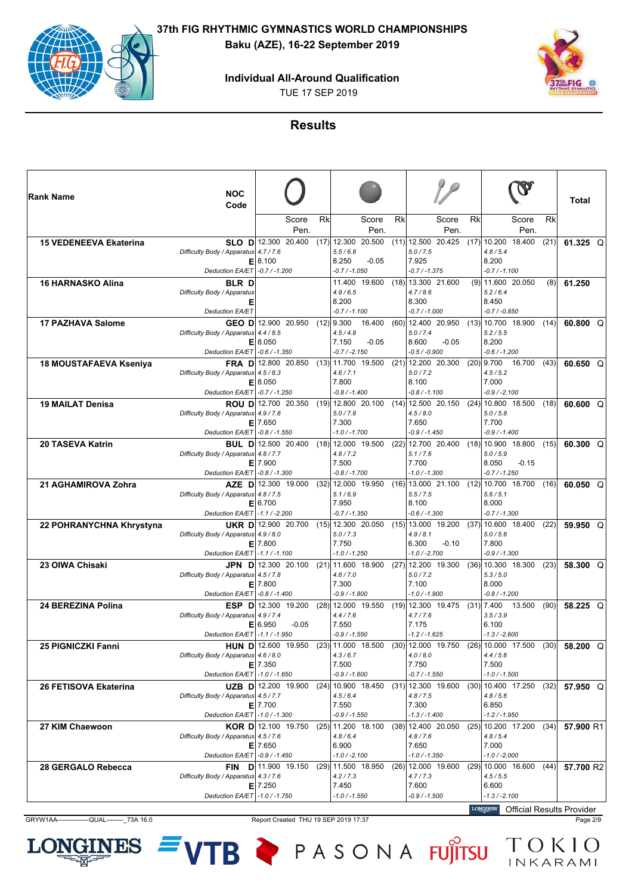## **Individual All-Around Qualification**

TUE 17 SEP 2019



#### **Results**

| ∣Rank Name                    | <b>NOC</b><br>Code                                                       |                                                  |           |                                                                 |                   |    |                                                                          |    |                                                                 |      | Total           |
|-------------------------------|--------------------------------------------------------------------------|--------------------------------------------------|-----------|-----------------------------------------------------------------|-------------------|----|--------------------------------------------------------------------------|----|-----------------------------------------------------------------|------|-----------------|
|                               |                                                                          | Score<br>Pen.                                    | <b>Rk</b> |                                                                 | Score<br>Pen.     | Rk | Score<br>Pen.                                                            | Rk | Score<br>Pen.                                                   | Rk   |                 |
| <b>15 VEDENEEVA Ekaterina</b> | Difficulty Body / Apparatus 4.7 / 7.6                                    | SLO $D$ 12.300 20.400<br>E 8.100                 |           | $(17)$ 12.300 20.500<br>5.5/6.8<br>8.250                        | $-0.05$           |    | $(11)$ 12.500 20.425<br>5.0 / 7.5<br>7.925                               |    | $(17)$ 10.200 18.400<br>4.8/5.4<br>8.200                        | (21) | 61.325 $Q$      |
|                               | Deduction EA/ET -0.7 / -1.200                                            |                                                  |           | $-0.7 / -1.050$                                                 |                   |    | $-0.7 / -1.375$                                                          |    | $-0.7 / -1.100$                                                 |      |                 |
| <b>16 HARNASKO Alina</b>      | <b>BLR</b> D<br>Difficulty Body / Apparatus<br>Е                         |                                                  |           | 11.400 19.600<br>4.9/6.5<br>8.200                               |                   |    | $(18)$ 13.300 21.600<br>4.7/8.6<br>8.300                                 |    | $(9)$   11.600 20.050<br>5.2/6.4<br>8.450                       | (8)  | 61.250          |
|                               | <b>Deduction EA/ET</b>                                                   |                                                  |           | $-0.7 / -1.100$                                                 |                   |    | $-0.7 / -1.000$                                                          |    | $-0.7 / -0.850$                                                 |      |                 |
| <b>17 PAZHAVA Salome</b>      | Difficulty Body / Apparatus 4.4 / 8.5<br>Deduction EA/ET - 0.6 / -1.350  | GEO D 12.900 20.950<br>E 8.050                   |           | $(12)$ 9.300<br>4.5/4.8<br>7.150<br>$-0.7 / -2.150$             | 16.400<br>$-0.05$ |    | $(60)$ 12.400 20.950<br>5.0 / 7.4<br>$-0.05$<br>8.600<br>$-0.5 / -0.900$ |    | $(13)$ 10.700 18.900<br>5.2 / 5.5<br>8.200<br>$-0.6 / -1.200$   | (14) | 60.800 Q        |
| 18 MOUSTAFAEVA Kseniya        | Difficulty Body / Apparatus 4.5 / 8.3<br>Deduction EA/ET -0.7 / -1.250   | FRA D 12.800 20.850<br>E 8.050                   |           | $(13)$ 11.700 19.500<br>4.6 / 7.1<br>7.800<br>$-0.8 / -1.400$   |                   |    | $(21)$ 12.200 20.300<br>5.0 / 7.2<br>8.100<br>$-0.8 / -1.100$            |    | $(20)$   9.700<br>16.700<br>4.5/5.2<br>7.000<br>$-0.9 / -2.100$ | (43) | 60.650 $Q$      |
| <b>19 MAILAT Denisa</b>       | Difficulty Body / Apparatus 4.9 / 7.8<br>Deduction EA/ET - 0.8 / -1.550  | <b>ROU D</b> 12.700 20.350<br>$E$   7.650        |           | $(19)$ 12.800 20.100<br>5.0 / 7.8<br>7.300<br>$-1.0$ / $-1.700$ |                   |    | $(14)$ 12.500 20.150<br>4.5/8.0<br>7.650<br>-0.9 / -1.450                |    | $(24)$ 10.800 18.500<br>5.0 / 5.8<br>7.700<br>$-0.9/ -1.400$    | (18) | 60.600 $Q$      |
| <b>20 TASEVA Katrin</b>       |                                                                          | <b>BUL D</b> 12.500 20.400                       |           | $(18)$ 12.000 19.500                                            |                   |    | $(22)$ 12.700 20.400                                                     |    | $(18)$   10.900 18.800                                          | (15) | 60.300 $Q$      |
|                               | Difficulty Body / Apparatus 4.8 / 7.7<br>Deduction EA/ET - 0.8 / -1.300  | $E$   7.900                                      |           | 4.8 / 7.2<br>7.500<br>$-0.8 / -1.700$                           |                   |    | 5.1 / 7.6<br>7.700<br>$-1.0 / -1.300$                                    |    | 5.0 / 5.9<br>$-0.15$<br>8.050<br>$-0.7 / -1.250$                |      |                 |
| 21 AGHAMIROVA Zohra           |                                                                          | AZE D 12.300 19.000                              |           | $(32)$   12.000 19.950                                          |                   |    | $(16)$   13.000 21.100                                                   |    | $(12)$   10.700 18.700                                          | (16) | 60.050 $Q$      |
|                               | Difficulty Body / Apparatus 4.8 / 7.5<br>Deduction EA/ET -1.1 / -2.200   | E 6.700                                          |           | 5.1/6.9<br>7.950<br>$-0.7 / -1.350$                             |                   |    | 5.5 / 7.5<br>8.100<br>$-0.6 / -1.300$                                    |    | 5.6 / 5.1<br>8.000<br>$-0.7 / -1.300$                           |      |                 |
| 22 POHRANYCHNA Khrystyna      |                                                                          | <b>UKR D</b> 12.900 20.700                       |           | $(15)$ 12.300 20.050                                            |                   |    | $(15)$   13.000 19.200                                                   |    | $(37)$ 10.600 18.400                                            | (22) | $59.950$ Q      |
|                               | Difficulty Body / Apparatus 4.9 / 8.0<br>Deduction EA/ET   -1.1 / -1.100 | $E$ 7.800                                        |           | 5.0 / 7.3<br>7.750<br>$-1.0 / -1.250$                           |                   |    | 4.9/8.1<br>6.300<br>$-0.10$<br>$-1.0 / -2.700$                           |    | 5.0 / 5.6<br>7.800<br>$-0.9 / -1.300$                           |      |                 |
| 23 OIWA Chisaki               |                                                                          | JPN D 12.300 20.100                              |           | $(21)$ 11.600 18.900                                            |                   |    | $(27)$ 12.200 19.300                                                     |    | $(36)$   10.300 18.300                                          | (23) | 58.300 Q        |
|                               | Difficulty Body / Apparatus 4.5 / 7.8<br>Deduction EA/ET - 0.8 / -1.400  | $E$   7.800                                      |           | 4.6 / 7.0<br>7.300<br>$-0.9 / -1.800$                           |                   |    | 5.0 / 7.2<br>7.100<br>$-1.0 / -1.900$                                    |    | 5.3 / 5.0<br>8.000<br>$-0.8 / -1.200$                           |      |                 |
| 24 BEREZINA Polina            | Difficulty Body / Apparatus 4.9 / 7.4                                    | <b>ESP D</b> 12.300 19.200<br>E 6.950<br>$-0.05$ |           | $(28)$ 12.000 19.550<br>4.4/7.6<br>7.550                        |                   |    | $(19)$ 12.300 19.475<br>4.7 / 7.6<br>7.175                               |    | $(31)$   7.400<br>13.500<br>3.5 / 3.9<br>6.100                  | (90) | 58.225 $Q$      |
|                               | Deduction EA/ET -1.1 / -1.950                                            |                                                  |           | $-0.9 / -1.550$                                                 |                   |    | $-1.2 / -1.625$                                                          |    | $-1.3 / -2.600$                                                 |      |                 |
| 25 PIGNICZKI Fanni            | Difficulty Body / Apparatus 4.6 / 8.0<br>Deduction EA/ET -1.0 / -1.650   | HUN D 12.600 19.950<br>$E$ 7.350                 |           | $(23)$ 11.000 18.500<br>4.3/6.7<br>7.500<br>$-0.9 / -1.600$     |                   |    | $(30)$ 12.000 19.750<br>4.0 / 8.0<br>7.750<br>$-0.7 / -1.550$            |    | $(26)$ 10.000 17.500<br>4.4/5.6<br>7.500<br>$-1.0 / -1.500$     |      | $(30)$ 58.200 Q |
| 26 FETISOVA Ekaterina         |                                                                          | UZB D 12.200 19.900                              |           | $(24)$ 10.900 18.450                                            |                   |    | $(31)$   12.300 19.600                                                   |    | $(30)$   10.400 17.250                                          | (32) | 57.950 Q        |
|                               | Difficulty Body / Apparatus 4.5 / 7.7<br>Deduction EA/ET -1.0 / -1.300   | $E$   7.700                                      |           | 4.5/6.4<br>7.550<br>-0.9 / -1.550                               |                   |    | 4.8 / 7.5<br>7.300<br>$-1.3 / -1.400$                                    |    | 4.8 / 5.6<br>6.850<br>$-1.2 / -1.950$                           |      |                 |
| 27 KIM Chaewoon               |                                                                          | KOR D 12.100 19.750                              |           | $(25)$   11.200 18.100                                          |                   |    | $(38)$   12.400 20.050                                                   |    | $(25)$   10.200 17.200                                          | (34) | 57.900 R1       |
|                               | Difficulty Body / Apparatus 4.5 / 7.6<br>Deduction EA/ET - 0.9 / -1.450  | $E$   7.650                                      |           | 4.8/6.4<br>6.900<br>$-1.0 / -2.100$                             |                   |    | 4.8 / 7.6<br>7.650<br>$-1.0 / -1.350$                                    |    | 4.8/5.4<br>7.000<br>$-1.0 / -2.000$                             |      |                 |
| 28 GERGALO Rebecca            | Difficulty Body / Apparatus 4.3 / 7.6                                    | <b>FIN</b> $D$ 11.900 19.150<br>$E$   7.250      |           | $(29)$ 11.500 18.950<br>4.2 / 7.3<br>7.450                      |                   |    | $(26)$   12.000 19.600<br>4.7 / 7.3<br>7.600                             |    | $(29)$   10.000 16.600<br>4.5/5.5<br>6.600                      | (44) | 57.700 R2       |
|                               | Deduction EA/ET -1.0 / -1.750                                            |                                                  |           | -1.0 / -1.550                                                   |                   |    | -0.9 / -1.500                                                            |    | $-1.3 / -2.100$<br><b>IONGINES</b> Official Depute Dravidat     |      |                 |

GRYW1AA----------------QUAL------------73A 16.0 Report Created THU 19 SEP 2019 17:37 Page 2/9

**NES** 

LOI

Official Results Provider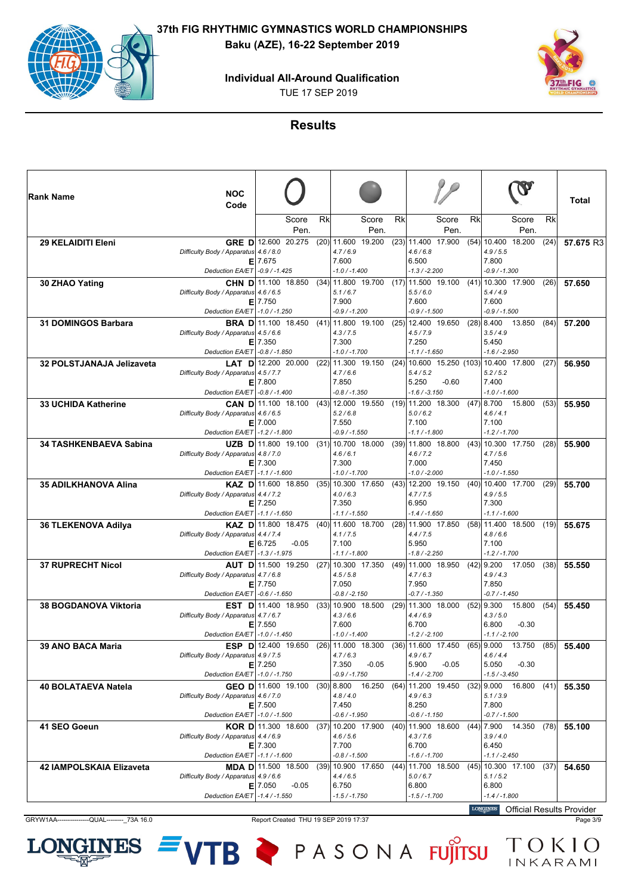**Individual All-Around Qualification**

TUE 17 SEP 2019



**Results**

| ∣Rank Name                    | <b>NOC</b>                            |                             |      |                                         |         |    |                                           |    |                                             |      |           |
|-------------------------------|---------------------------------------|-----------------------------|------|-----------------------------------------|---------|----|-------------------------------------------|----|---------------------------------------------|------|-----------|
|                               | Code                                  |                             |      |                                         |         |    |                                           |    |                                             |      | Total     |
|                               |                                       | Score                       | Rk   |                                         | Score   | Rk | Score                                     | Rk | Score                                       | Rk   |           |
| 29 KELAIDITI Eleni            |                                       | Pen.<br>GRE D 12.600 20.275 |      | $(20)$ 11.600 19.200                    | Pen.    |    | Pen.<br>$(23)$ 11.400 17.900              |    | Pen.<br>$(54)$ 10.400<br>18.200             | (24) | 57.675 R3 |
|                               | Difficulty Body / Apparatus 4.6 / 8.0 |                             |      | 4.7/6.9                                 |         |    | 4.6/6.8                                   |    | 4.9 / 5.5                                   |      |           |
|                               |                                       | $E$   7.675                 |      | 7.600                                   |         |    | 6.500                                     |    | 7.800                                       |      |           |
| 30 ZHAO Yating                | Deduction EA/ET - 0.9 / -1.425        | CHN D 11.100 18.850         |      | $-1.0 / -1.400$<br>$(34)$ 11.800 19.700 |         |    | $-1.3 / -2.200$<br>$(17)$   11.500 19.100 |    | $-0.9 / -1.300$<br>$(41)$   10.300 17.900   | (26) | 57.650    |
|                               | Difficulty Body / Apparatus 4.6 / 6.5 |                             |      | 5.1/6.7                                 |         |    | 5.5/6.0                                   |    | 5.4/4.9                                     |      |           |
|                               |                                       | $E$   7.750                 |      | 7.900                                   |         |    | 7.600                                     |    | 7.600                                       |      |           |
|                               | Deduction EA/ET   -1.0 / -1.250       |                             |      | -0.9 / -1.200                           |         |    | -0.9 / -1.500                             |    | -0.9 / -1.500                               |      |           |
| <b>31 DOMINGOS Barbara</b>    | Difficulty Body / Apparatus 4.5 / 6.6 | <b>BRA D</b> 11.100 18.450  |      | $(41)$ 11.800 19.100<br>4.3 / 7.5       |         |    | $(25)$ 12.400 19.650<br>4.5 / 7.9         |    | $(28)$   8.400<br>13.850<br>3.5/4.9         | (84) | 57.200    |
|                               |                                       | $E$   7.350                 |      | 7.300                                   |         |    | 7.250                                     |    | 5.450                                       |      |           |
|                               | Deduction EA/ET - 0.8 / -1.850        |                             |      | $-1.0 / -1.700$                         |         |    | $-1.1 / -1.650$                           |    | $-1.6 / -2.950$                             |      |           |
| 32 POLSTJANAJA Jelizaveta     |                                       | <b>LAT D</b> 12.200 20.000  | (22) | 11.300 19.150                           |         |    |                                           |    | $(24)$   10.600 15.250 (103)  10.400 17.800 | (27) | 56,950    |
|                               | Difficulty Body / Apparatus 4.5 / 7.7 | $E$   7.800                 |      | 4.7/6.6<br>7.850                        |         |    | 5.4/5.2<br>5.250<br>$-0.60$               |    | 5.2 / 5.2<br>7.400                          |      |           |
|                               | Deduction EA/ET - 0.8 / -1.400        |                             |      | $-0.8 / -1.350$                         |         |    | $-1.6 / -3.150$                           |    | $-1.0 / -1.600$                             |      |           |
| <b>33 UCHIDA Katherine</b>    |                                       | CAN D 11.100 18.100         |      | $(43)$ 12.000 19.550                    |         |    | $(19)$   11.200 18.300                    |    | $(47)$   8.700<br>15.800                    | (53) | 55,950    |
|                               | Difficulty Body / Apparatus 4.6 / 6.5 |                             |      | 5.2/6.8                                 |         |    | 5.0/6.2                                   |    | 4.6/4.1                                     |      |           |
|                               | Deduction EA/ET   -1.2 / -1.800       | $E$   7.000                 |      | 7.550<br>$-0.9 / -1.550$                |         |    | 7.100<br>-1.1 / -1.800                    |    | 7.100<br>-1.2/-1.700                        |      |           |
| <b>34 TASHKENBAEVA Sabina</b> |                                       | UZB D 11.800 19.100         |      | $(31)$ 10.700 18.000                    |         |    | $(39)$   11.800 18.800                    |    | $(43)$   10.300 17.750                      | (28) | 55.900    |
|                               | Difficulty Body / Apparatus 4.8 / 7.0 |                             |      | 4.6/6.1                                 |         |    | 4.6/7.2                                   |    | 4.7/5.6                                     |      |           |
|                               |                                       | $E$   7.300                 |      | 7.300                                   |         |    | 7.000                                     |    | 7.450                                       |      |           |
|                               | Deduction EA/ET -1.1 / -1.600         | KAZ D 11.600 18.850         |      | $-1.0 / -1.700$<br>$(35)$ 10.300 17.650 |         |    | $-1.0 / -2.000$<br>$(43)$ 12.200 19.150   |    | $-1.0 / -1.550$<br>$(40)$   10.400 17.700   | (29) |           |
| 35 ADILKHANOVA Alina          | Difficulty Body / Apparatus 4.4 / 7.2 |                             |      | 4.0/6.3                                 |         |    | 4.7 / 7.5                                 |    | 4.9 / 5.5                                   |      | 55.700    |
|                               |                                       | $E$   7.250                 |      | 7.350                                   |         |    | 6.950                                     |    | 7.300                                       |      |           |
|                               | Deduction EA/ET -1.1 / -1.650         |                             |      | $-1.1 / -1.550$                         |         |    | $-1.4 / -1.650$                           |    | $-1.1 / -1.600$                             |      |           |
| 36 TLEKENOVA Adilya           |                                       | KAZ D 11.800 18.475         | (40) | 11.600 18.700<br>4.1 / 7.5              |         |    | $(28)$   11.900 17.850<br>4.4/7.5         |    | $(58)$   11.400 18.500<br>4.8/6.6           | (19) | 55,675    |
|                               | Difficulty Body / Apparatus 4.4 / 7.4 | E 6.725<br>$-0.05$          |      | 7.100                                   |         |    | 5.950                                     |    | 7.100                                       |      |           |
|                               | Deduction EA/ET   -1.3 / -1.975       |                             |      | $-1.1 / -1.800$                         |         |    | -1.8 / -2.250                             |    | $-1.2 / -1.700$                             |      |           |
| <b>37 RUPRECHT Nicol</b>      |                                       | AUT D 11.500 19.250         |      | $(27)$ 10.300 17.350                    |         |    | $(49)$ 11.000 18.950                      |    | $(42)$   9.200<br>17.050                    | (38) | 55.550    |
|                               | Difficulty Body / Apparatus 4.7 / 6.8 | $E$   7.750                 |      | 4.5/5.8<br>7.050                        |         |    | 4.7/6.3<br>7.950                          |    | 4.9/4.3<br>7.850                            |      |           |
|                               | Deduction EA/ET   -0.6 / -1.650       |                             |      | $-0.8 / -2.150$                         |         |    | $-0.7 / -1.350$                           |    | $-0.7 / -1.450$                             |      |           |
| <b>38 BOGDANOVA Viktoria</b>  |                                       | <b>EST D</b> 11.400 18.950  | (33) | 10.900 18.500                           |         |    | $(29)$   11.300 18.000                    |    | $(52)$   9.300<br>15.800                    | (54) | 55.450    |
|                               | Difficulty Body / Apparatus 4.7 / 6.7 |                             |      | 4.3/6.6                                 |         |    | 4.4/6.9                                   |    | 4.3/5.0                                     |      |           |
|                               |                                       | $E$   7.550                 |      | 7.600<br>$-1.0 / -1.400$                |         |    | 6.700                                     |    | 6.800<br>$-0.30$<br>$-1.1 / -2.100$         |      |           |
| 39 ANO BACA Maria             | Deduction EA/ET -1.0 / -1.450         | ESP D 12.400 19.650         |      | $(26)$   11.000 18.300                  |         |    | $-1.2 / -2.100$<br>$(36)$   11.600 17.450 |    | $(65)$   9.000<br>13.750                    | (85) | 55.400    |
|                               | Difficulty Body / Apparatus 4.9 / 7.5 |                             |      | 4.7/6.3                                 |         |    | 4.9/6.7                                   |    | 4.6/4.4                                     |      |           |
|                               |                                       | $E$   7.250                 |      | 7.350                                   | $-0.05$ |    | 5.900<br>$-0.05$                          |    | 5.050<br>$-0.30$                            |      |           |
|                               | Deduction EA/ET   -1.0 / -1.750       |                             |      | $-0.9 / -1.750$                         |         |    | $-1.4 / -2.700$                           |    | $-1.5 / -3.450$                             |      |           |
| 40 BOLATAEVA Natela           | Difficulty Body / Apparatus 4.6 / 7.0 | GEO D 11.600 19.100         |      | $(30)$   8.800 16.250<br>4.8 / 4.0      |         |    | $(64)$   11.200 19.450<br>4.9/6.3         |    | $(32)$   9.000<br>16.800<br>5.1 / 3.9       | (41) | 55.350    |
|                               |                                       | $E$   7.500                 |      | 7.450                                   |         |    | 8.250                                     |    | 7.800                                       |      |           |
|                               | Deduction EA/ET -1.0 / -1.500         |                             |      | $-0.6 / -1.950$                         |         |    | $-0.6 / -1.150$                           |    | $-0.7 / -1.500$                             |      |           |
| 41 SEO Goeun                  |                                       | KOR D 11.300 18.600         |      | $(37)$ 10.200 17.900                    |         |    | $(40)$   11.900 18.600                    |    | $(44)$   7.900 14.350                       | (78) | 55.100    |
|                               | Difficulty Body / Apparatus 4.4 / 6.9 | $E$   7.300                 |      | 4.6 / 5.6<br>7.700                      |         |    | 4.3 / 7.6<br>6.700                        |    | 3.9/4.0<br>6.450                            |      |           |
|                               | Deduction EA/ET -1.1 / -1.600         |                             |      | $-0.8 / -1.500$                         |         |    | $-1.6 / -1.700$                           |    | $-1.1 / -2.450$                             |      |           |
| 42 IAMPOLSKAIA Elizaveta      |                                       | <b>MDA D</b>  11.500 18.500 |      | $(39)$ 10.900 17.650                    |         |    | $(44)$ 11.700 18.500                      |    | $(45)$   10.300 17.100                      | (37) | 54.650    |
|                               | Difficulty Body / Apparatus 4.9 / 6.6 |                             |      | 4.4/6.5                                 |         |    | 5.0 / 6.7                                 |    | 5.1/5.2                                     |      |           |
|                               | Deduction EA/ET -1.4 / -1.550         | $E$   7.050<br>$-0.05$      |      | 6.750<br>-1.5 / -1.750                  |         |    | 6.800<br>$-1.5 / -1.700$                  |    | 6.800<br>$-1.4 / -1.800$                    |      |           |
|                               |                                       |                             |      |                                         |         |    |                                           |    | LONGINES Official Results Provider          |      |           |

GRYW1AA---------------QUAL--------\_73A 16.0 Report Created THU 19 SEP 2019 17:37 Page 3/9

Official Results Provider

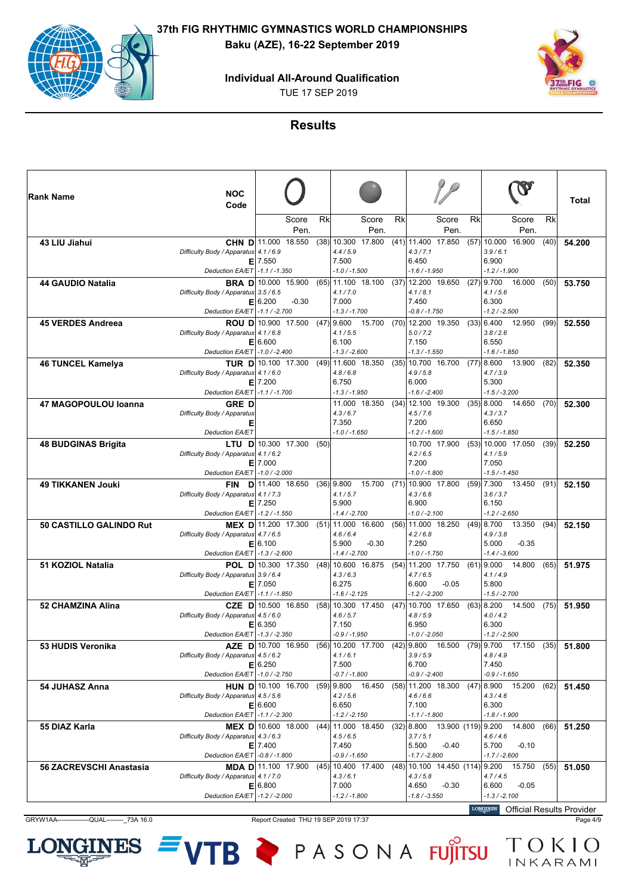**Individual All-Around Qualification**

TUE 17 SEP 2019



### **Results**

| ∣Rank Name                     | <b>NOC</b><br>Code                                                       |                                                 |      |                                                             |      |                                                                 |                                                                        | Total  |
|--------------------------------|--------------------------------------------------------------------------|-------------------------------------------------|------|-------------------------------------------------------------|------|-----------------------------------------------------------------|------------------------------------------------------------------------|--------|
|                                |                                                                          | Score<br>Pen.                                   | Rk   | Score<br>Pen.                                               | Rk   | Score<br>Rk<br>Pen.                                             | Rk<br>Score<br>Pen.                                                    |        |
| 43 LIU Jiahui                  | Difficulty Body / Apparatus 4.1 / 6.9                                    | CHN D 11.000 18.550<br>$E$ 7.550                |      | $(38)$ 10.300 17.800<br>4.4/5.9<br>7.500                    |      | $(41)$ 11.400 17.850<br>4.3/7.1<br>6.450                        | $(57)$   10.000 16.900<br>(40)<br>3.9/6.1<br>6.900                     | 54.200 |
|                                | Deduction EA/ET                                                          | $-1.1 / -1.350$                                 |      | $-1.0 / -1.500$                                             |      | $-1.6 / -1.950$                                                 | $-1.2 / -1.900$                                                        |        |
| 44 GAUDIO Natalia              | Difficulty Body / Apparatus 3.5 / 6.5<br>El                              | <b>BRA D</b> 10.000 15.900<br>6.200<br>$-0.30$  |      | (65) 11.100 18.100<br>4.1 / 7.0<br>7.000                    | (37) | 12.200 19.650<br>4.1 / 8.1<br>7.450                             | $(27)$   9.700<br>16.000<br>(50)<br>4.1 / 5.6<br>6.300                 | 53.750 |
| <b>45 VERDES Andreea</b>       | Deduction EA/ET                                                          | $-1.1 / -2.700$<br><b>ROU D</b> 10.900 17.500   |      | $-1.3 / -1.700$<br>$(47)$   9.600 15.700                    | (70) | $-0.8 / -1.750$<br>12.200 19.350                                | $-1.2 / -2.500$<br>$(33)$ 6.400<br>12.950<br>(99)                      | 52.550 |
|                                | Difficulty Body / Apparatus 4.1 / 6.8<br>Deduction EA/ET -1.0 / -2.400   | E 6.600                                         |      | 4.1 / 5.5<br>6.100<br>$-1.3 / -2.600$                       |      | 5.0 / 7.2<br>7.150<br>$-1.3 / -1.550$                           | 3.8/2.6<br>6.550<br>$-1.6 / -1.850$                                    |        |
| <b>46 TUNCEL Kamelya</b>       | Difficulty Body / Apparatus 4.1 / 6.0<br>Е<br><b>Deduction EA/ET</b>     | TUR D 10.100 17.300<br>7.200<br>$-1.1 / -1.700$ |      | $(49)$ 11.600 18.350<br>4.8/6.8<br>6.750<br>$-1.3 / -1.950$ | (35) | 10.700 16.700<br>4.9/5.8<br>6.000<br>$-1.6 / -2.400$            | (77) 8.600<br>13.900<br>(82)<br>4.7 / 3.9<br>5.300<br>$-1.5/ -3.200$   | 52,350 |
| 47 MAGOPOULOU Ioanna           | <b>GRED</b>                                                              |                                                 |      | 11.000 18.350                                               | (34) | 12.100 19.300                                                   | $(35)$   8.000<br>14.650<br>(70)                                       | 52.300 |
|                                | Difficulty Body / Apparatus<br>Е<br><b>Deduction EA/ET</b>               |                                                 |      | 4.3/6.7<br>7.350<br>$-1.0 / -1.650$                         |      | 4.5 / 7.6<br>7.200<br>$-1.2 / -1.600$                           | 4.3/3.7<br>6.650<br>$-1.5 / -1.850$                                    |        |
| <b>48 BUDGINAS Brigita</b>     |                                                                          | <b>LTU D</b> 10.300 17.300                      | (50) |                                                             |      | 10.700 17.900                                                   | $(53)$ 10.000 17.050<br>(39)                                           | 52.250 |
|                                | Difficulty Body / Apparatus 4.1 / 6.2<br>Deduction EA/ET -1.0 / -2.000   | $E$   7.000                                     |      |                                                             |      | 4.2 / 6.5<br>7.200<br>$-1.0 / -1.800$                           | 4.1 / 5.9<br>7.050<br>$-1.5 / -1.450$                                  |        |
| <b>49 TIKKANEN Jouki</b>       |                                                                          | FIN D 11.400 18.650                             |      | 15.700<br>$(36)$ 9.800                                      | (71) | 10.900 17.800                                                   | $(59)$   7.300<br>13.450<br>(91)                                       | 52.150 |
|                                | Difficulty Body / Apparatus 4.1 / 7.3                                    | $E$   7.250                                     |      | 4.1/5.7<br>5.900                                            |      | 4.3/6.6<br>6.900                                                | 3.6 / 3.7<br>6.150                                                     |        |
|                                | Deduction EA/ET                                                          | $-1.2 / -1.550$                                 |      | $-1.4/ -2.700$                                              |      | $-1.0$ / $-2.100$                                               | $-1.2 / -2.650$                                                        |        |
| 50 CASTILLO GALINDO Rut        | Difficulty Body / Apparatus 4.7 / 6.5                                    | <b>MEX D</b> 11.200 17.300<br>E 6.100           |      | $(51)$ 11.000 16.600<br>4.6/6.4<br>5.900<br>$-0.30$         | (56) | 11.000 18.250<br>4.2/6.8<br>7.250                               | $(49)$   8.700<br>13.350<br>(94)<br>4.9 / 3.8<br>5.000<br>$-0.35$      | 52.150 |
|                                | Deduction EA/ET   -1.3 / -2.600                                          |                                                 |      | $-1.4 / -2.700$                                             |      | $-1.0 / -1.750$                                                 | $-1.4 / -3.600$                                                        |        |
| 51 KOZIOL Natalia              | Difficulty Body / Apparatus 3.9 / 6.4<br>Deduction EA/ET -1.1 / -1.850   | <b>POL D</b> 10.300 17.350<br>$E$   7.050       |      | $(48)$ 10.600 16.875<br>4.3/6.3<br>6.275<br>$-1.6/ -2.125$  | (54) | 11.200 17.750<br>4.7/6.5<br>6.600<br>$-0.05$<br>$-1.2 / -2.200$ | $(61)$   9.000<br>14.800<br>(65)<br>4.1/4.9<br>5.800<br>$-1.5/ -2.700$ | 51.975 |
| <b>52 CHAMZINA Alina</b>       | Difficulty Body / Apparatus 4.5 / 6.0                                    | CZE D 10.500 16.850<br>E 6.350                  |      | $(58)$   10.300 17.450<br>4.6/5.7<br>7.150                  | (47) | 10.700 17.650<br>4.8/5.9<br>6.950                               | $(63)$   8.200<br>14.500<br>(75)<br>4.0 / 4.2<br>6.300                 | 51.950 |
| 53 HUDIS Veronika              | Deduction EA/ET   -1.3 / -2.350                                          | <b>AZE D</b> 10.700 16.950                      |      | $-0.9 / -1.950$<br>(56) 10.200 17.700                       |      | $-1.0 / -2.050$<br>$(42)$ 9.800<br>16.500                       | $-1.2 / -2.500$<br>$(79)$   9.700 17.150<br>(35)                       | 51.800 |
|                                | Difficulty Body / Apparatus 4.5 / 6.2<br>Deduction EA/ET -1.0 / -2.750   | E 6.250                                         |      | 4.1/6.1<br>7.500<br>$-0.7 / -1.800$                         |      | 3.9/5.9<br>6.700<br>$-0.9 / -2.400$                             | 4.8/4.9<br>7.450<br>$-0.9 / -1.650$                                    |        |
| 54 JUHASZ Anna                 |                                                                          | HUN D 10.100 16.700                             |      | $(59)$ 9.800 16.450                                         |      | $(58)$ 11.200 18.300                                            | $(47)$   8.900 15.200<br>(62)                                          | 51.450 |
|                                | Difficulty Body / Apparatus 4.5 / 5.6<br>Deduction EA/ET -1.1 / -2.300   | E 6.600                                         |      | 4.2 / 5.6<br>6.650<br>$-1.2 / -2.150$                       |      | 4.6/6.6<br>7.100<br>$-1.1 / -1.800$                             | 4.3/4.6<br>6.300<br>$-1.8 / -1.900$                                    |        |
| 55 DIAZ Karla                  |                                                                          | MEX D 10.600 18.000                             |      | $(44)$ 11.000 18.450                                        |      | $(32)$ 8.800                                                    | 13.900 (119) 9.200 14.800<br>(66)                                      | 51.250 |
|                                | Difficulty Body / Apparatus 4.3 / 6.3<br>Deduction EA/ET   -0.8 / -1.800 | $E$   7.400                                     |      | 4.5/6.5<br>7.450<br>$-0.9 / -1.650$                         |      | 3.7/5.1<br>5.500<br>$-0.40$<br>$-1.7 / -2.800$                  | 4.6 / 4.6<br>5.700<br>$-0.10$<br>$-1.7 / -2.600$                       |        |
| <b>56 ZACREVSCHI Anastasia</b> |                                                                          | <b>MDA D</b> 11.100 17.900                      |      | $(45)$   10.400 17.400                                      |      | $(48)$   10.100 14.450 (114)  9.200                             | 15.750<br>(55)                                                         | 51.050 |
|                                | Difficulty Body / Apparatus 4.1 / 7.0<br>Deduction EA/ET -1.2 / -2.000   | E 6.800                                         |      | 4.3/6.1<br>7.000<br>$-1.2 / -1.800$                         |      | 4.3 / 5.8<br>4.650<br>$-0.30$<br>$-1.8 / -3.550$                | 4.7/4.5<br>6.600<br>$-0.05$<br>$-1.3 / -2.100$                         |        |
|                                |                                                                          |                                                 |      |                                                             |      |                                                                 | LONGINES OFF                                                           |        |

GRYW1AA---------------QUAL-----------73A 16.0 Report Created THU 19 SEP 2019 17:37 Page 4/9

**NES** 

LOI

Official Results Provider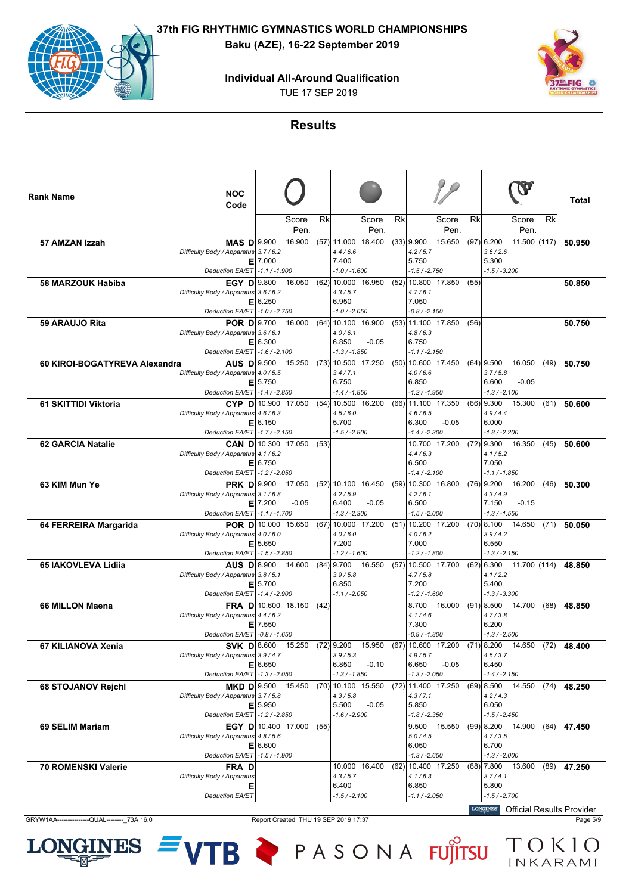**Individual All-Around Qualification**

TUE 17 SEP 2019



### **Results**

| Rank Name                     | <b>NOC</b><br>Code                                                                                     |             |                                   |      |                                                                 |                       |      |                                                             |               |      |                                                                                                                       |      | Total  |
|-------------------------------|--------------------------------------------------------------------------------------------------------|-------------|-----------------------------------|------|-----------------------------------------------------------------|-----------------------|------|-------------------------------------------------------------|---------------|------|-----------------------------------------------------------------------------------------------------------------------|------|--------|
|                               |                                                                                                        |             | Score<br>Pen.                     | Rk   |                                                                 | Score<br>Pen.         | Rk   |                                                             | Score<br>Pen. | Rk   | Score<br>Pen.                                                                                                         | Rk   |        |
| 57 AMZAN Izzah                | <b>MAS D</b> 9.900<br>Difficulty Body / Apparatus 3.7 / 6.2                                            | $E$   7.000 | 16.900                            |      | $(57)$ 11.000 18.400<br>4.4/6.6<br>7.400                        |                       |      | $(33)$ 9.900<br>4.2 / 5.7<br>5.750                          | 15.650        |      | $(97)$ 6.200<br>11.500 (117)<br>3.6 / 2.6<br>5.300                                                                    |      | 50.950 |
|                               | Deduction EA/ET -1.1 / -1.900                                                                          |             |                                   |      | $-1.0 / -1.600$                                                 |                       |      | $-1.5 / -2.750$                                             |               |      | $-1.5 / -3.200$                                                                                                       |      |        |
| <b>58 MARZOUK Habiba</b>      | <b>EGY D</b> 9.800<br>Difficulty Body / Apparatus 3.6 / 6.2                                            | E 6.250     | 16.050                            | (62) | 10.000 16.950<br>4.3/5.7<br>6.950                               |                       | (52) | 10.800 17.850<br>4.7/6.1<br>7.050                           |               | (55) |                                                                                                                       |      | 50.850 |
| 59 ARAUJO Rita                | Deduction EA/ET   -1.0 / -2.750<br><b>POR D</b> 9.700 16.000                                           |             |                                   |      | $-1.0 / -2.050$<br>$(64)$ 10.100 16.900                         |                       |      | $-0.8 / -2.150$<br>$(53)$ 11.100 17.850                     |               | (56) |                                                                                                                       |      | 50.750 |
|                               | Difficulty Body / Apparatus 3.6 / 6.1<br>Deduction EA/ET -1.6 / -2.100                                 | E 6.300     |                                   |      | 4.0/6.1<br>6.850<br>$-1.3 / -1.850$                             | $-0.05$               |      | 4.8/6.3<br>6.750<br>$-1.1 / -2.150$                         |               |      |                                                                                                                       |      |        |
| 60 KIROI-BOGATYREVA Alexandra | AUS D 9.500 15.250<br>Difficulty Body / Apparatus 4.0 / 5.5<br>Deduction EA/ET -1.4 / -2.850           | $E$   5.750 |                                   |      | $(73)$ 10.500 17.250<br>3.4/7.1<br>6.750<br>$-1.4 / -1.850$     |                       |      | $(50)$ 10.600 17.450<br>4.0/6.6<br>6.850<br>$-1.2 / -1.950$ |               |      | $(64)$   9.500<br>16.050<br>3.7/5.8<br>6.600<br>$-0.05$<br>$-1.3/ -2.100$                                             | (49) | 50.750 |
| 61 SKITTIDI Viktoria          | $CYP$ D 10.900 17.050<br>Difficulty Body / Apparatus 4.6 / 6.3<br>Deduction EA/ET -1.7 / -2.150        | E 6.150     |                                   | (54) | 10.500 16.200<br>4.5/6.0<br>5.700<br>$-1.5 / -2.800$            |                       |      | $(66)$ 11.100 17.350<br>4.6/6.5<br>6.300<br>$-1.4 / -2.300$ | $-0.05$       |      | $(66)$   9.300<br>15.300<br>4.9/4.4<br>6.000<br>$-1.8/ -2.200$                                                        | (61) | 50.600 |
| <b>62 GARCIA Natalie</b>      | Difficulty Body / Apparatus 4.1 / 6.2<br>Deduction EA/ET   -1.2 / -2.050                               | $E$ 6.750   | <b>CAN D</b> 10.300 17.050        | (53) |                                                                 |                       |      | 10.700 17.200<br>4.4/6.3<br>6.500<br>$-1.4/ -2.100$         |               |      | $(72)$   9.300<br>16.350<br>4.1/5.2<br>7.050<br>$-1.1 / -1.850$                                                       | (45) | 50.600 |
| 63 KIM Mun Ye                 | <b>PRK D</b> 9.900<br>Difficulty Body / Apparatus 3.1 / 6.8<br>Deduction EA/ET -1.1 / -1.700           | $E$   7.200 | 17.050<br>$-0.05$                 |      | $(52)$   10.100 16.450<br>4.2 / 5.9<br>6.400<br>$-1.3 / -2.300$ | $-0.05$               |      | $(59)$ 10.300 16.800<br>4.2/6.1<br>6.500<br>$-1.5 / -2.000$ |               |      | 16.200<br>$(76)$   9.200<br>4.3/4.9<br>$-0.15$<br>7.150<br>$-1.3 / -1.550$                                            | (46) | 50.300 |
| 64 FERREIRA Margarida         | <b>POR D</b> 10.000 15.650<br>Difficulty Body / Apparatus 4.0 / 6.0<br>Deduction EA/ET   -1.5 / -2.850 | E 5.650     |                                   |      | $(67)$ 10.000 17.200<br>4.0 / 6.0<br>7.200<br>$-1.2 / -1.600$   |                       |      | $(51)$ 10.200 17.200<br>4.0/6.2<br>7.000<br>$-1.2 / -1.800$ |               |      | $(70)$   8.100<br>14.650<br>3.9/4.2<br>6.550<br>$-1.3 / -2.150$                                                       | (71) | 50.050 |
| <b>65 IAKOVLEVA Lidija</b>    | AUS D 8.900 14.600<br>Difficulty Body / Apparatus 3.8 / 5.1<br>Deduction EA/ET   -1.4 / -2.900         | E 5.700     |                                   |      | 3.9/5.8<br>6.850<br>$-1.1 / -2.050$                             | $(84)$   9.700 16.550 |      | $(57)$ 10.500 17.700<br>4.7/5.8<br>7.200<br>$-1.2 / -1.600$ |               |      | $(62)$   6.300 11.700 (114) <br>4.1 / 2.2<br>5.400<br>$-1.3 / -3.300$                                                 |      | 48.850 |
| <b>66 MILLON Maena</b>        | Difficulty Body / Apparatus 4.4 / 6.2<br>Deduction EA/ET - 0.8 / -1.650                                | $E$   7.550 | FRA D 10.600 18.150               | (42) |                                                                 |                       |      | 8.700 16.000<br>4.1/4.6<br>7.300<br>$-0.9 / -1.800$         |               |      | $(91)$   8.500 14.700<br>4.7 / 3.8<br>6.200<br>$-1.3 / -2.500$                                                        | (68) | 48.850 |
| 67 KILIANOVA Xenia            | SVK D 8.600<br>Difficulty Body / Apparatus 3.9 / 4.7<br>Deduction EA/ET -1.3 / -2.050                  | E 6.650     | 15.250                            |      | $(72)$ 9.200<br>3.9 / 5.3<br>6.850<br>$-1.3 / -1.850$           | 15.950<br>$-0.10$     |      | $(67)$ 10.600 17.200<br>4.9/5.7<br>6.650<br>$-1.3 / -2.050$ | $-0.05$       |      | $(71)$ 8.200<br>14.650<br>4.5 / 3.7<br>6.450<br>$-1.4 / -2.150$                                                       | (72) | 48.400 |
| <b>68 STOJANOV Rejchl</b>     | Difficulty Body / Apparatus 3.7 / 5.8<br>Deduction EA/ET -1.2 / -2.850                                 | E 5.950     | MKD D   9.500 15.450              |      | 4.3 / 5.8<br>5.500<br>$-1.6 / -2.900$                           | $-0.05$               |      | 4.3 / 7.1<br>5.850<br>$-1.8 / -2.350$                       |               |      | $(70)$   10.100 15.550 $(72)$   11.400 17.250 $(69)$   8.500 14.550 $(74)$  <br>4.2 / 4.3<br>6.050<br>$-1.5 / -2.450$ |      | 48.250 |
| 69 SELIM Mariam               | Difficulty Body / Apparatus 4.8 / 5.6<br>Deduction EA/ET -1.5 / -1.900                                 | E 6.600     | <b>EGY D</b>   10.400 17.000 (55) |      |                                                                 |                       |      | 9.500 15.550<br>5.0 / 4.5<br>6.050<br>$-1.3 / -2.650$       |               |      | $(99)$   8.200 14.900<br>4.7 / 3.5<br>6.700<br>$-1.3 / -2.000$                                                        | (64) | 47.450 |
| <b>70 ROMENSKI Valerie</b>    | FRA D<br>Difficulty Body / Apparatus<br>Е<br>Deduction EA/ET                                           |             |                                   |      | 4.3/5.7<br>6.400<br>$-1.5 / -2.100$                             | 10.000 16.400         |      | $(62)$ 10.400 17.250<br>4.1/6.3<br>6.850<br>$-1.1 / -2.050$ |               |      | $(68)$   7.800 13.600<br>3.7/4.1<br>5.800<br>$-1.5 / -2.700$<br>LONGINES Official Populto Drovidor                    | (89) | 47.250 |

GRYW1AA----------------QUAL------------73A 16.0 Report Created THU 19 SEP 2019 17:37 Page 5/9

**NES** 

LOI

VTB PASONA FUJITSU TOKIO

Official Results Provider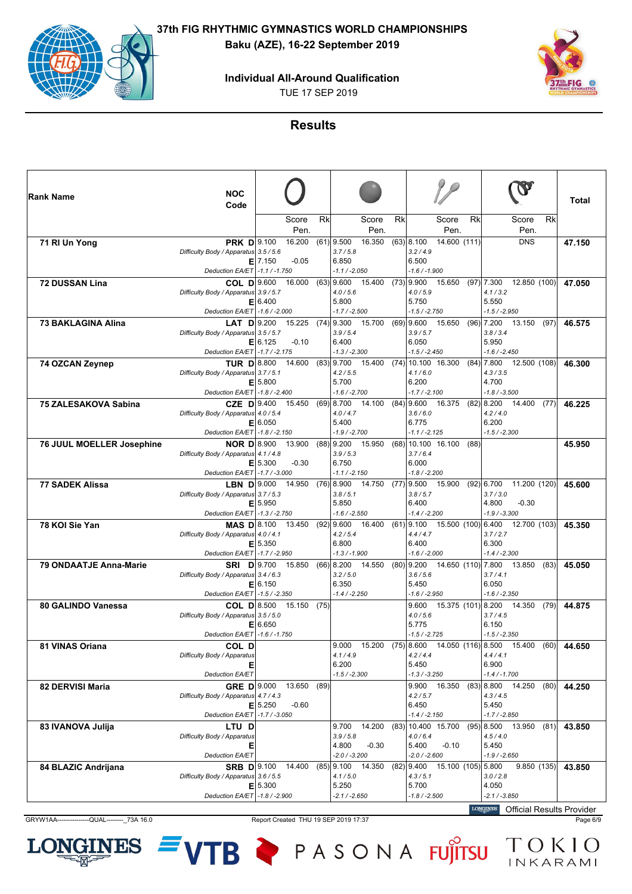**Individual All-Around Qualification**

TUE 17 SEP 2019



### **Results**

| ∣Rank Name                       | <b>NOC</b>                                                  |             |                                 |      |                             |                       |    |                                |                                    |      |                                                    |      |        |
|----------------------------------|-------------------------------------------------------------|-------------|---------------------------------|------|-----------------------------|-----------------------|----|--------------------------------|------------------------------------|------|----------------------------------------------------|------|--------|
|                                  | Code                                                        |             |                                 |      |                             |                       |    |                                |                                    |      |                                                    |      | Total  |
|                                  |                                                             |             | Score                           | Rk   |                             | Score                 | Rk |                                | Score                              | Rk   | Score                                              | Rk   |        |
| 71 RI Un Yong                    | <b>PRK D</b> 9.100                                          |             | Pen.<br>16.200                  |      | $(61)$ 9.500                | Pen.<br>16.350        |    | $(63)$ 8.100                   | Pen.<br>14.600 (111)               |      | Pen.<br><b>DNS</b>                                 |      | 47.150 |
|                                  | Difficulty Body / Apparatus 3.5 / 5.6                       |             |                                 |      | 3.7/5.8                     |                       |    | 3.2/4.9                        |                                    |      |                                                    |      |        |
|                                  | Deduction EA/ET   -1.1 / -1.750                             | $E$   7.150 | $-0.05$                         |      | 6.850<br>$-1.1 / -2.050$    |                       |    | 6.500<br>$-1.6 / -1.900$       |                                    |      |                                                    |      |        |
| <b>72 DUSSAN Lina</b>            | <b>COL D</b> 9.600                                          |             | 16.000                          |      | $(63)$ 9.600                | 15.400                |    | $(73)$   9.900                 | 15.650                             |      | 12.850 (100)<br>$(97)$   7.300                     |      | 47.050 |
|                                  | Difficulty Body / Apparatus 3.9 / 5.7                       |             |                                 |      | 4.0 / 5.6                   |                       |    | 4.0 / 5.9                      |                                    |      | 4.1 / 3.2                                          |      |        |
|                                  | Deduction EA/ET   -1.6 / -2.000                             | E 6.400     |                                 |      | 5.800<br>$-1.7 / -2.500$    |                       |    | 5.750<br>$-1.5 / -2.750$       |                                    |      | 5.550<br>$-1.5/ -2.950$                            |      |        |
| <b>73 BAKLAGINA Alina</b>        | LAT $D$ 9.200                                               |             | 15.225                          |      | $(74)$ 9.300                | 15.700                |    | $(69)$   9.600                 | 15.650                             |      | $(96)$   7.200<br>13.150                           | (97) | 46.575 |
|                                  | Difficulty Body / Apparatus 3.5 / 5.7                       | E 6.125     | $-0.10$                         |      | 3.9/5.4<br>6.400            |                       |    | 3.9/5.7<br>6.050               |                                    |      | 3.8 / 3.4<br>5.950                                 |      |        |
|                                  | Deduction EA/ET   -1.7 / -2.175                             |             |                                 |      | $-1.3 / -2.300$             |                       |    | $-1.5 / -2.450$                |                                    |      | $-1.6 / -2.450$                                    |      |        |
| 74 OZCAN Zeynep                  | TUR $D 8.800$ 14.600                                        |             |                                 |      |                             | $(83)$ 9.700 15.400   |    |                                | $(74)$ 10.100 16.300               |      | $(84)$   7.800 12.500 (108)                        |      | 46.300 |
|                                  | Difficulty Body / Apparatus 3.7 / 5.1                       | E 5.800     |                                 |      | 4.2 / 5.5<br>5.700          |                       |    | 4.1/6.0<br>6.200               |                                    |      | 4.3 / 3.5<br>4.700                                 |      |        |
|                                  | Deduction EA/ET -1.8 / -2.400                               |             |                                 |      | $-1.6 / -2.700$             |                       |    | $-1.7 / -2.100$                |                                    |      | $-1.8 / -3.500$                                    |      |        |
| <b>75 ZALESAKOVA Sabina</b>      | CZE D 9.400 15.450                                          |             |                                 |      |                             | $(69)$   8.700 14.100 |    |                                | $(84)$ 9.600 16.375                |      | $(82)$   8.200 14.400                              | (77) | 46.225 |
|                                  | Difficulty Body / Apparatus 4.0 / 5.4                       | E 6.050     |                                 |      | 4.0 / 4.7<br>5.400          |                       |    | 3.6/6.0<br>6.775               |                                    |      | 4.2 / 4.0<br>6.200                                 |      |        |
|                                  | Deduction EA/ET -1.8 / -2.150                               |             |                                 |      | $-1.9/ -2.700$              |                       |    | $-1.1 / -2.125$                |                                    |      | $-1.5 / -2.300$                                    |      |        |
| <b>76 JUUL MOELLER Josephine</b> | <b>NOR D</b> 8.900                                          |             | 13.900                          |      | $(88)$ 9.200                | 15.950                |    |                                | $(68)$ 10.100 16.100               | (88) |                                                    |      | 45.950 |
|                                  | Difficulty Body / Apparatus 4.1 / 4.8                       | $E$ 5.300   | $-0.30$                         |      | 3.9/5.3<br>6.750            |                       |    | 3.7/6.4<br>6.000               |                                    |      |                                                    |      |        |
|                                  | Deduction EA/ET -1.7 / -3.000                               |             |                                 |      | $-1.1 / -2.150$             |                       |    | -1.8 / -2.200                  |                                    |      |                                                    |      |        |
| <b>77 SADEK Alissa</b>           | LBN $D$ 9.000<br>Difficulty Body / Apparatus 3.7 / 5.3      |             | 14.950                          |      | $(76)$ 8.900<br>3.8/5.1     | 14.750                |    | $(77)$   9.500<br>3.8/5.7      | 15.900                             |      | $(92)$   6.700 11.200 (120)<br>3.7 / 3.0           |      | 45.600 |
|                                  |                                                             | E 5.950     |                                 |      | 5.850                       |                       |    | 6.400                          |                                    |      | 4.800<br>$-0.30$                                   |      |        |
|                                  | Deduction EA/ET   -1.3 / -2.750                             |             |                                 |      | $-1.6 / -2.550$             |                       |    | $-1.4 / -2.200$                |                                    |      | $-1.9 / -3.300$                                    |      |        |
| 78 KOI Sie Yan                   | $MAS$ $D 8.100$<br>Difficulty Body / Apparatus 4.0 / 4.1    |             | 13.450                          |      | $(92)$   9.600<br>4.2 / 5.4 | 16.400                |    | $(61)$   9.100<br>4.4/4.7      | 15.500 (100) 6.400                 |      | 12.700 (103)<br>3.7/2.7                            |      | 45.350 |
|                                  |                                                             | E 5.350     |                                 |      | 6.800                       |                       |    | 6.400                          |                                    |      | 6.300                                              |      |        |
|                                  | Deduction EA/ET   -1.7 / -2.950                             |             |                                 |      | $-1.3 / -1.900$             |                       |    | -1.6 / -2.000                  |                                    |      | $-1.4/ -2.300$                                     |      |        |
| <b>79 ONDAATJE Anna-Marie</b>    | <b>SRI D</b> 9.700<br>Difficulty Body / Apparatus 3.4 / 6.3 |             | 15.850                          |      | $(66)$ 8.200<br>3.2 / 5.0   | 14.550                |    | $(80)$ 9.200<br>3.6/5.6        | 14.650 (110) 7.800                 |      | 13.850<br>3.7/4.1                                  | (83) | 45.050 |
|                                  |                                                             | E 6.150     |                                 |      | 6.350                       |                       |    | 5.450                          |                                    |      | 6.050                                              |      |        |
| 80 GALINDO Vanessa               | Deduction EA/ET   -1.5 / -2.350                             |             | <b>COL D</b> 8.500 15.150 (75)  |      | $-1.4/ -2.250$              |                       |    | -1.6 / -2.950                  |                                    |      | $-1.6 / -2.350$<br>9.600 15.375 (101) 8.200 14.350 | (79) |        |
|                                  | Difficulty Body / Apparatus 3.5 / 5.0                       |             |                                 |      |                             |                       |    | 4.0 / 5.6                      |                                    |      | 3.7/4.5                                            |      | 44.875 |
|                                  |                                                             | E 6.650     |                                 |      |                             |                       |    | 5.775                          |                                    |      | 6.150                                              |      |        |
| 81 VINAS Oriana                  | Deduction EA/ET   -1.6 / -1.750<br>COL D                    |             |                                 |      | 9.000                       | 15.200                |    | $-1.5/ -2.725$<br>$(75)$ 8.600 | 14.050 (116) 8.500                 |      | $-1.5 / -2.350$<br>15.400                          | (60) | 44.650 |
|                                  | Difficulty Body / Apparatus                                 |             |                                 |      | 4.1/4.9                     |                       |    | 4.2/4.4                        |                                    |      | 4.4/4.1                                            |      |        |
|                                  | Е<br><b>Deduction EA/ET</b>                                 |             |                                 |      | 6.200<br>$-1.5 / -2.300$    |                       |    | 5.450<br>-1.3 / -3.250         |                                    |      | 6.900<br>$-1.4 / -1.700$                           |      |        |
| 82 DERVISI Maria                 | <b>GRE D</b> 9.000                                          |             | 13.650                          | (89) |                             |                       |    |                                | 9.900 16.350                       |      | $(83)$   8.800 14.250                              | (80) | 44.250 |
|                                  | Difficulty Body / Apparatus 4.7 / 4.3                       |             |                                 |      |                             |                       |    | 4.2 / 5.7                      |                                    |      | 4.3/4.5                                            |      |        |
|                                  | Deduction EA/ET -1.7 / -3.050                               | $E$ 5.250   | $-0.60$                         |      |                             |                       |    | 6.450<br>$-1.4 / -2.150$       |                                    |      | 5.450<br>$-1.7 / -2.850$                           |      |        |
| 83 IVANOVA Julija                | LTU D                                                       |             |                                 |      |                             | 9.700 14.200          |    |                                | $(83)$ 10.400 15.700               |      | $(95)$   8.500 13.950                              | (81) | 43.850 |
|                                  | Difficulty Body / Apparatus                                 |             |                                 |      | 3.9 / 5.8                   |                       |    | 4.0/6.4                        |                                    |      | 4.5/4.0                                            |      |        |
|                                  | Е<br>Deduction EA/ET                                        |             |                                 |      | 4.800<br>$-2.0 / -3.200$    | $-0.30$               |    | 5.400<br>$-2.0 / -2.600$       | $-0.10$                            |      | 5.450<br>$-1.9 / -2.650$                           |      |        |
| 84 BLAZIC Andrijana              |                                                             |             | <b>SRB D</b> $ 9.100 \t 14.400$ |      |                             | $(85)$ 9.100 14.350   |    |                                | $(82)$   9.400 15.100 (105)  5.800 |      | 9.850(135)                                         |      | 43.850 |
|                                  | Difficulty Body / Apparatus 3.6 / 5.5                       | E 5.300     |                                 |      | 4.1 / 5.0<br>5.250          |                       |    | 4.3/5.1<br>5.700               |                                    |      | 3.0 / 2.8<br>4.050                                 |      |        |
|                                  | Deduction EA/ET -1.8 / -2.900                               |             |                                 |      | -2.1 / -2.650               |                       |    | -1.8 / -2.500                  |                                    |      | $-2.1 / -3.850$                                    |      |        |
|                                  |                                                             |             |                                 |      |                             |                       |    |                                |                                    |      | LONGINES Official Populto Dravidor                 |      |        |

GRYW1AA----------------QUAL------------73A 16.0 Report Created THU 19 SEP 2019 17:37 Page 6/9

Official Results Provider

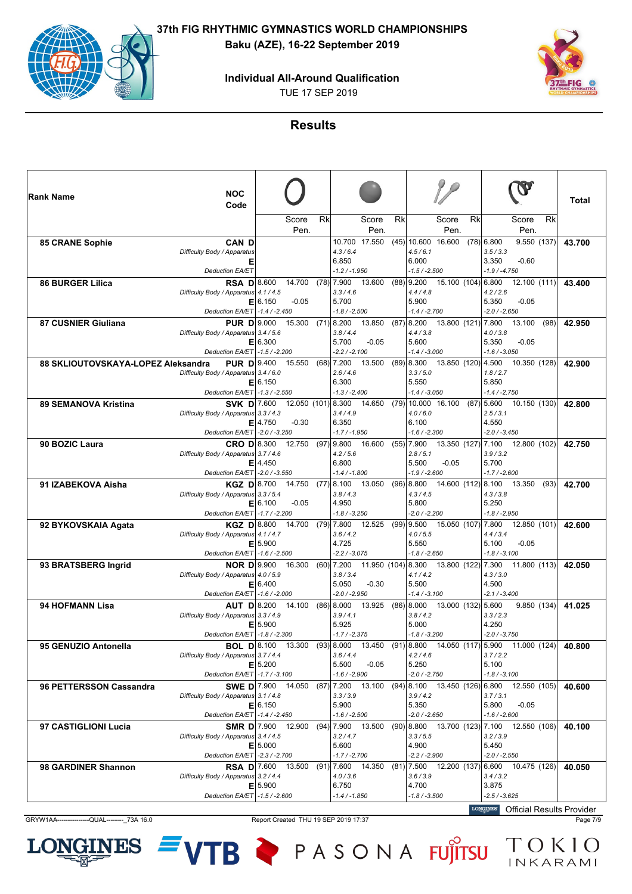# **Individual All-Around Qualification**

TUE 17 SEP 2019



### **Results**

| ∣Rank Name                         | <b>NOC</b><br>Code                                          |             |                                       |           |                                   |                       |    |                                          |                      |    |                                                                 | Total  |
|------------------------------------|-------------------------------------------------------------|-------------|---------------------------------------|-----------|-----------------------------------|-----------------------|----|------------------------------------------|----------------------|----|-----------------------------------------------------------------|--------|
|                                    |                                                             |             | Score<br>Pen.                         | <b>Rk</b> |                                   | Score<br>Pen.         | Rk |                                          | Score<br>Pen.        | Rk | <b>Rk</b><br>Score<br>Pen.                                      |        |
| 85 CRANE Sophie                    | <b>CAN D</b><br>Difficulty Body / Apparatus<br>Е            |             |                                       |           | 4.3/6.4<br>6.850                  | 10.700 17.550         |    | $(45)$ 10.600 16.600<br>4.5/6.1<br>6.000 |                      |    | $(78)$ 6.800<br>9.550(137)<br>3.5 / 3.3<br>3.350<br>$-0.60$     | 43.700 |
|                                    | <b>Deduction EA/ET</b>                                      |             |                                       |           | $-1.2 / -1.950$                   |                       |    | $-1.5 / -2.500$                          |                      |    | $-1.9 / -4.750$                                                 |        |
| <b>86 BURGER Lilica</b>            | <b>RSA D</b> 8.600<br>Difficulty Body / Apparatus 4.1 / 4.5 |             | 14.700 (78) 7.900                     |           | 3.3/4.6                           | 13.600                |    | $(88)$ 9.200<br>4.4/4.8                  | 15.100 (104) 6.800   |    | 12.100(111)<br>4.2 / 2.6                                        | 43.400 |
|                                    |                                                             | E 6.150     | $-0.05$                               |           | 5.700                             |                       |    | 5.900                                    |                      |    | 5.350<br>$-0.05$                                                |        |
| 87 CUSNIER Giuliana                | Deduction EA/ET -1.4 / -2.450<br><b>PUR D</b> 9.000         |             | 15.300                                |           | $-1.8 / -2.500$<br>$(71)$ 8.200   | 13.850                |    | $-1.4/ -2.700$<br>(87) 8.200             | 13.800 (121) 7.800   |    | $-2.0/ -2.650$<br>13.100<br>(98)                                |        |
|                                    | Difficulty Body / Apparatus 3.4 / 5.6                       |             |                                       |           | 3.8/4.4                           |                       |    | 4.4 / 3.8                                |                      |    | 4.0 / 3.8                                                       | 42.950 |
|                                    |                                                             | E 6.300     |                                       |           | 5.700                             | $-0.05$               |    | 5.600                                    |                      |    | $-0.05$<br>5.350                                                |        |
|                                    | Deduction EA/ET   -1.5 / -2.200                             |             |                                       |           | $-2.2 / -2.100$                   |                       |    | $-1.4 / -3.000$                          |                      |    | $-1.6 / -3.050$                                                 |        |
| 88 SKLIOUTOVSKAYA-LOPEZ Aleksandra | <b>PUR D</b> 9.400 15.550                                   |             |                                       |           | $(68)$ 7.200<br>2.6/4.6           | 13.500                |    | $(89)$ 8.300<br>3.3/5.0                  | 13.850 (120) 4.500   |    | 10.350 (128)<br>1.8/2.7                                         | 42.900 |
|                                    | Difficulty Body / Apparatus 3.4 / 6.0                       | E 6.150     |                                       |           | 6.300                             |                       |    | 5.550                                    |                      |    | 5.850                                                           |        |
|                                    | Deduction EA/ET -1.3 / -2.550                               |             |                                       |           | $-1.3 / -2.400$                   |                       |    | $-1.4 / -3.050$                          |                      |    | $-1.4 / -2.750$                                                 |        |
| <b>89 SEMANOVA Kristina</b>        |                                                             |             | <b>SVK D</b> 7.600 12.050 (101) 8.300 |           |                                   | 14.650                |    |                                          | $(79)$ 10.000 16.100 |    | $(87)$ 5.600<br>10.150 (130)                                    | 42.800 |
|                                    | Difficulty Body / Apparatus 3.3 / 4.3                       |             |                                       |           | 3.4/4.9                           |                       |    | 4.0/6.0                                  |                      |    | 2.5 / 3.1                                                       |        |
|                                    | Deduction EA/ET - 2.0 / -3.250                              | $E$   4.750 | $-0.30$                               |           | 6.350<br>$-1.7 / -1.950$          |                       |    | 6.100<br>-1.6 / -2.300                   |                      |    | 4.550<br>$-2.0 / -3.450$                                        |        |
| 90 BOZIC Laura                     | <b>CRO D</b> 8.300                                          |             | 12.750                                |           | $(97)$ 9.800                      | 16.600                |    | $(55)$ 7.900                             | 13.350 (127) 7.100   |    | 12.800 (102)                                                    | 42.750 |
|                                    | Difficulty Body / Apparatus 3.7 / 4.6                       |             |                                       |           | 4.2 / 5.6                         |                       |    | 2.8/5.1                                  |                      |    | 3.9 / 3.2                                                       |        |
|                                    |                                                             | $E$   4.450 |                                       |           | 6.800                             |                       |    | 5.500                                    | $-0.05$              |    | 5.700                                                           |        |
|                                    | Deduction EA/ET - 2.0 / -3.550                              |             |                                       |           | $-1.4 / -1.800$                   |                       |    | $-1.9/ -2.600$                           |                      |    | $-1.7/ -2.600$                                                  |        |
| 91 IZABEKOVA Aisha                 | KGZ $D 8.700$<br>Difficulty Body / Apparatus 3.3 / 5.4      |             | 14.750                                |           | $(77)$ 8.100<br>3.8/4.3           | 13.050                |    | $(96)$   8.800<br>4.3/4.5                | 14.600 (112) 8.100   |    | 13.350<br>(93)<br>4.3 / 3.8                                     | 42.700 |
|                                    |                                                             | E 6.100     | $-0.05$                               |           | 4.950                             |                       |    | 5.800                                    |                      |    | 5.250                                                           |        |
|                                    | Deduction EA/ET -1.7 / -2.200                               |             |                                       |           | $-1.8 / -3.250$                   |                       |    | $-2.0 / -2.200$                          |                      |    | $-1.8 / -2.950$                                                 |        |
| 92 BYKOVSKAIA Agata                | KGZ D 8.800                                                 |             | 14.700                                |           | $(79)$ 7.800                      | 12.525                |    | $(99)$ 9.500                             | 15.050 (107) 7.800   |    | 12.850 (101)                                                    | 42.600 |
|                                    | Difficulty Body / Apparatus 4.1 / 4.7                       | E 5.900     |                                       |           | 3.6/4.2<br>4.725                  |                       |    | 4.0 / 5.5<br>5.550                       |                      |    | 4.4/3.4<br>5.100<br>$-0.05$                                     |        |
|                                    | Deduction EA/ET   -1.6 / -2.500                             |             |                                       |           | $-2.2 / -3.075$                   |                       |    | $-1.8 / -2.650$                          |                      |    | $-1.8 / -3.100$                                                 |        |
| 93 BRATSBERG Ingrid                | NOR D $ 9.900$                                              |             | 16.300                                |           | $(60)$ 7.200                      | 11.950 (104) 8.300    |    |                                          | 13.800 (122) 7.300   |    | 11.800(113)                                                     | 42.050 |
|                                    | Difficulty Body / Apparatus 4.0 / 5.9                       |             |                                       |           | 3.8 / 3.4                         |                       |    | 4.1/4.2                                  |                      |    | 4.3 / 3.0                                                       |        |
|                                    |                                                             | E 6.400     |                                       |           | 5.050                             | $-0.30$               |    | 5.500                                    |                      |    | 4.500                                                           |        |
| 94 HOFMANN Lisa                    | Deduction EA/ET -1.6 / -2.000<br>AUT D 8.200 14.100         |             |                                       |           | $-2.0 / -2.950$<br>$(86)$   8.000 | 13.925                |    | $-1.4 / -3.100$<br>$(86)$   8.000        | 13.000 (132) 5.600   |    | $-2.1 / -3.400$<br>9.850(134)                                   |        |
|                                    | Difficulty Body / Apparatus 3.3 / 4.9                       |             |                                       |           | 3.9 / 4.1                         |                       |    | 3.8/4.2                                  |                      |    | 3.3 / 2.3                                                       | 41.025 |
|                                    |                                                             | E 5.900     |                                       |           | 5.925                             |                       |    | 5.000                                    |                      |    | 4.250                                                           |        |
|                                    | Deduction EA/ET -1.8 / -2.300                               |             |                                       |           | $-1.7 / -2.375$                   |                       |    | $-1.8 / -3.200$                          |                      |    | $-2.0 / -3.750$                                                 |        |
| 95 GENUZIO Antonella               | BOL $D 8.100$                                               |             | 13.300                                |           | (93) 8.000                        | 13.450                |    | $(91)$ 8.800                             | 14.050 (117) 5.900   |    | 11.000 (124)                                                    | 40.800 |
|                                    | Difficulty Body / Apparatus 3.7 / 4.4                       | E 5.200     |                                       |           | 3.6/4.4<br>5.500                  | $-0.05$               |    | 4.2 / 4.6<br>5.250                       |                      |    | 3.7/2.2<br>5.100                                                |        |
|                                    | Deduction EA/ET -1.7 / -3.100                               |             |                                       |           | $-1.6 / -2.900$                   |                       |    | $-2.0 / -2.750$                          |                      |    | $-1.8 / -3.100$                                                 |        |
| 96 PETTERSSON Cassandra            | <b>SWE D</b> 7.900 14.050                                   |             |                                       |           |                                   | $(87)$   7.200 13.100 |    |                                          |                      |    | $(94)$   8.100 13.450 (126)  6.800 12.550 (105)                 | 40.600 |
|                                    | Difficulty Body / Apparatus 3.1 / 4.8                       |             |                                       |           | 3.3 / 3.9                         |                       |    | 3.9/4.2                                  |                      |    | 3.7 / 3.1                                                       |        |
|                                    | Deduction EA/ET -1.4 / -2.450                               | E 6.150     |                                       |           | 5.900<br>$-1.6 / -2.500$          |                       |    | 5.350<br>$-2.0 / -2.650$                 |                      |    | 5.800<br>$-0.05$<br>$-1.6 / -2.600$                             |        |
| 97 CASTIGLIONI Lucia               | SMR D 7.900 12.900                                          |             |                                       |           |                                   | $(94)$ 7.900 13.500   |    |                                          |                      |    | $(90)$   8.800 13.700 (123)  7.100 12.550 (106)                 | 40.100 |
|                                    | Difficulty Body / Apparatus 3.4 / 4.5                       |             |                                       |           | 3.2 / 4.7                         |                       |    | 3.3/5.5                                  |                      |    | 3.2 / 3.9                                                       |        |
|                                    |                                                             | E 5.000     |                                       |           | 5.600                             |                       |    | 4.900                                    |                      |    | 5.450                                                           |        |
| 98 GARDINER Shannon                | Deduction EA/ET - 2.3 / - 2.700                             |             |                                       |           | $-1.7 / -2.700$                   |                       |    | $-2.2 / -2.900$                          |                      |    | $-2.0 / -2.550$<br>$(81)$ 7.500 12.200 (137) 6.600 10.475 (126) |        |
|                                    | Difficulty Body / Apparatus 3.2 / 4.4                       |             | <b>RSA D</b> 7.600 13.500             |           | 4.0 / 3.6                         | $(91)$   7.600 14.350 |    | 3.6 / 3.9                                |                      |    | 3.4 / 3.2                                                       | 40.050 |
|                                    |                                                             | E 5.900     |                                       |           | 6.750                             |                       |    | 4.700                                    |                      |    | 3.875                                                           |        |
|                                    | Deduction EA/ET -1.5 / -2.600                               |             |                                       |           | $-1.4 / -1.850$                   |                       |    | -1.8 / -3.500                            |                      |    | $-2.5 / -3.625$                                                 |        |
|                                    |                                                             |             |                                       |           |                                   |                       |    |                                          |                      |    | LONGINES Official Recults Provider                              |        |

**NES** 

LOI

GRYW1AA---------------QUAL--------\_73A 16.0 Report Created THU 19 SEP 2019 17:37 Page 7/9

Official Results Provider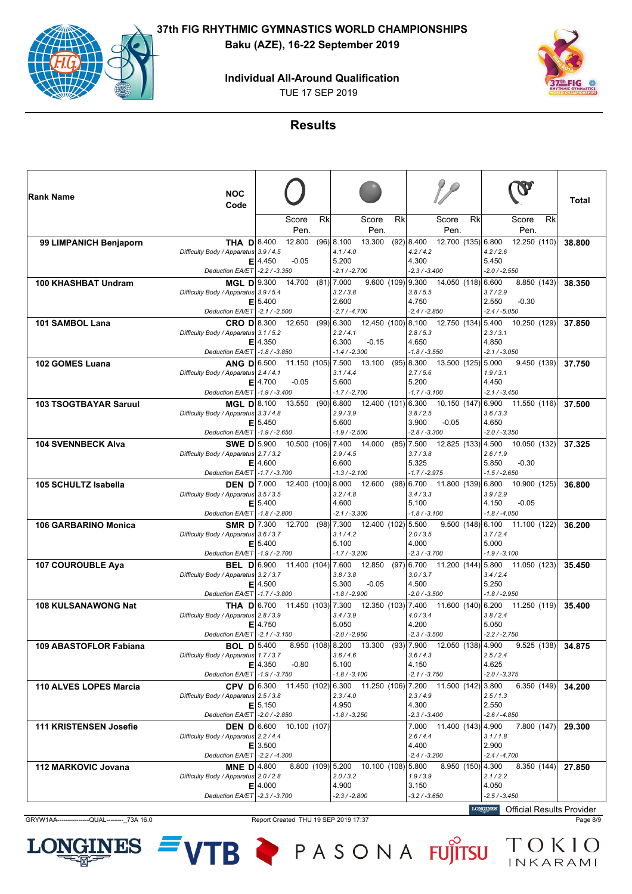**Individual All-Around Qualification**

TUE 17 SEP 2019



### **Results**

| ∣Rank Name                    | <b>NOC</b><br>Code                                                          |             |               |    |                                      |                                      |    |                                 |                                 |    |                                     |                                                                                                                              | Total  |
|-------------------------------|-----------------------------------------------------------------------------|-------------|---------------|----|--------------------------------------|--------------------------------------|----|---------------------------------|---------------------------------|----|-------------------------------------|------------------------------------------------------------------------------------------------------------------------------|--------|
|                               |                                                                             |             | Score<br>Pen. | Rk |                                      | Score<br>Pen.                        | Rk |                                 | Score<br>Pen.                   | Rk |                                     | Rk<br>Score<br>Pen.                                                                                                          |        |
| 99 LIMPANICH Benjaporn        | <b>THA D</b> 8.400<br>Difficulty Body / Apparatus 3.9 / 4.5                 |             | 12.800        |    | $(96)$ <sub>8.100</sub><br>4.1 / 4.0 | 13.300                               |    | (92) 8.400<br>4.2 / 4.2         | 12.700 (135) 6.800              |    | 4.2 / 2.6                           | 12.250 (110)                                                                                                                 | 38.800 |
|                               | Deduction EA/ET   -2.2 / -3.350                                             | $E$   4.450 | $-0.05$       |    | 5.200<br>$-2.1 / -2.700$             |                                      |    | 4.300<br>$-2.3 / -3.400$        |                                 |    | 5.450<br>$-2.0 / -2.550$            |                                                                                                                              |        |
| <b>100 KHASHBAT Undram</b>    | MGL D 9.300                                                                 |             | 14.700        |    | $(81)$ 7.000                         |                                      |    | $9.600(109)$ 9.300              | 14.050 (118) 6.600              |    |                                     | 8.850 (143)                                                                                                                  | 38.350 |
|                               | Difficulty Body / Apparatus 3.9 / 5.4                                       | $E$ 5.400   |               |    | 3.2 / 3.8<br>2.600                   |                                      |    | 3.8 / 5.5<br>4.750              |                                 |    | 3.7/2.9<br>2.550                    | $-0.30$                                                                                                                      |        |
|                               | Deduction EA/ET - 2.1 / - 2.500                                             |             |               |    | $-2.7 / -4.700$                      |                                      |    | $-2.4 / -2.850$                 |                                 |    | $-2.4 / -5.050$                     |                                                                                                                              |        |
| 101 SAMBOL Lana               | $CRO$ D $8.300$ 12.650<br>Difficulty Body / Apparatus 3.1 / 5.2             |             |               |    | $(99)$ 6.300<br>2.2/4.1              | 12.450 (100) 8.100                   |    | 2.8/5.3                         | 12.750 (134) 5.400              |    | 2.3 / 3.1                           | 10.250 (129)                                                                                                                 | 37.850 |
|                               |                                                                             | $E$   4.350 |               |    | 6.300                                | $-0.15$                              |    | 4.650                           |                                 |    | 4.850                               |                                                                                                                              |        |
|                               | Deduction EA/ET -1.8 / -3.850                                               |             |               |    | $-1.4 / -2.300$                      |                                      |    | $-1.8 / -3.550$                 |                                 |    | $-2.1 / -3.050$                     |                                                                                                                              |        |
| 102 GOMES Luana               | <b>ANG D</b> 6.500 11.150 (105) 7.500                                       |             |               |    |                                      | 13.100                               |    | $(95)$   8.300                  | 13.500 (125) 5.000              |    |                                     | 9.450(139)                                                                                                                   | 37.750 |
|                               | Difficulty Body / Apparatus 2.4 / 4.1                                       | $E$   4.700 | $-0.05$       |    | 3.1/4.4<br>5.600                     |                                      |    | 2.7/5.6<br>5.200                |                                 |    | 1.9/3.1<br>4.450                    |                                                                                                                              |        |
|                               | Deduction EA/ET   -1.9 / -3.400                                             |             |               |    | $-1.7 / -2.700$                      |                                      |    | $-1.7 / -3.100$                 |                                 |    | $-2.1 / -3.450$                     |                                                                                                                              |        |
| <b>103 TSOGTBAYAR Saruul</b>  | <b>MGL D</b> 8.100                                                          |             | 13.550        |    | $(90)$ 6.800                         | 12.400 (101) 6.300                   |    |                                 | $10.150(147)$ 6.900             |    |                                     | 11.550 (116)                                                                                                                 | 37.500 |
|                               | Difficulty Body / Apparatus 3.3 / 4.8                                       |             |               |    | 2.9/3.9                              |                                      |    | 3.8/2.5                         |                                 |    | 3.6 / 3.3                           |                                                                                                                              |        |
|                               | Deduction EA/ET -1.9 / -2.650                                               | E 5.450     |               |    | 5.600<br>$-1.9 / -2.500$             |                                      |    | 3.900<br>$-2.8 / -3.300$        | $-0.05$                         |    | 4.650<br>$-2.0 / -3.350$            |                                                                                                                              |        |
| <b>104 SVENNBECK Alva</b>     | SWE D 5.900 10.500 (106) 7.400                                              |             |               |    |                                      | 14.000                               |    | $(85)$ 7.500                    | 12.825 (133) 4.500              |    |                                     | 10.050 (132)                                                                                                                 | 37.325 |
|                               | Difficulty Body / Apparatus 2.7 / 3.2                                       |             |               |    | 2.9/4.5                              |                                      |    | 3.7 / 3.8                       |                                 |    | 2.6 / 1.9                           |                                                                                                                              |        |
|                               | Deduction EA/ET -1.7 / -3.700                                               | $E$   4.600 |               |    | 6.600                                |                                      |    | 5.325                           |                                 |    | 5.850<br>$-1.5/ -2.650$             | $-0.30$                                                                                                                      |        |
| 105 SCHULTZ Isabella          | <b>DEN D</b> 7.000 12.400 (100) 8.000                                       |             |               |    | $-1.3 / -2.100$                      | 12.600                               |    | $-1.7 / -2.975$<br>$(98)$ 6.700 | 11.800 (139) 6.800              |    |                                     | 10.900 (125)                                                                                                                 | 36,800 |
|                               | Difficulty Body / Apparatus 3.5 / 3.5                                       |             |               |    | 3.2 / 4.8                            |                                      |    | 3.4 / 3.3                       |                                 |    | 3.9 / 2.9                           |                                                                                                                              |        |
|                               |                                                                             | E 5.400     |               |    | 4.600                                |                                      |    | 5.100                           |                                 |    | 4.150                               | $-0.05$                                                                                                                      |        |
|                               | Deduction EA/ET -1.8 / -2.800                                               |             |               |    | $-2.1 / -3.300$                      |                                      |    | $-1.8 / -3.100$                 |                                 |    | $-1.8 / -4.050$                     |                                                                                                                              |        |
| <b>106 GARBARINO Monica</b>   | <b>SMR D</b> 7.300<br>Difficulty Body / Apparatus 3.6 / 3.7                 |             | 12.700        |    | $(98)$ 7.300<br>3.1 / 4.2            | 12.400 (102) 5.500                   |    | 2.0 / 3.5                       |                                 |    | 9.500(148)6.100<br>3.7/2.4          | 11.100 (122)                                                                                                                 | 36.200 |
|                               |                                                                             | E 5.400     |               |    | 5.100                                |                                      |    | 4.000                           |                                 |    | 5.000                               |                                                                                                                              |        |
|                               | Deduction EA/ET -1.9 / -2.700                                               |             |               |    | $-1.7 / -3.200$                      |                                      |    | $-2.3 / -3.700$                 |                                 |    | $-1.9 / -3.100$                     |                                                                                                                              |        |
| <b>107 COUROUBLE Aya</b>      | <b>BEL D</b> 6.900 11.400 (104) 7.600                                       |             |               |    | 3.8 / 3.8                            | 12.850                               |    | 3.0 / 3.7                       | $(97)$ 6.700 11.200 (144) 5.800 |    | 3.4/2.4                             | 11.050 (123)                                                                                                                 | 35,450 |
|                               | Difficulty Body / Apparatus 3.2 / 3.7                                       | $E$   4.500 |               |    | 5.300                                | $-0.05$                              |    | 4.500                           |                                 |    | 5.250                               |                                                                                                                              |        |
|                               | Deduction EA/ET -1.7 / -3.800                                               |             |               |    | $-1.8 / -2.900$                      |                                      |    | $-2.0 / -3.500$                 |                                 |    | $-1.8 / -2.950$                     |                                                                                                                              |        |
| <b>108 KULSANAWONG Nat</b>    |                                                                             |             |               |    |                                      |                                      |    |                                 |                                 |    |                                     | <b>THA D</b> $\begin{bmatrix} 6.700 & 11.450 & (103) \end{bmatrix}$ 7.300 12.350 (103) 7.400 11.600 (140) 6.200 11.250 (119) | 35,400 |
|                               | Difficulty Body / Apparatus 2.8 / 3.9                                       | $E$   4.750 |               |    | 3.4 / 3.9<br>5.050                   |                                      |    | 4.0 / 3.4<br>4.200              |                                 |    | 3.8/2.4<br>5.050                    |                                                                                                                              |        |
|                               | Deduction EA/ET - 2.1 / -3.150                                              |             |               |    | $-2.0 / -2.950$                      |                                      |    | $-2.3 / -3.500$                 |                                 |    | $-2.2 / -2.750$                     |                                                                                                                              |        |
| 109 ABASTOFLOR Fabiana        | <b>BOL D</b> 5.400                                                          |             |               |    | 8.950 (108) 8.200                    | 13.300                               |    | $(93)$ 7.900                    | 12.050 (138) 4.900              |    |                                     | 9.525(138)                                                                                                                   | 34.875 |
|                               | Difficulty Body / Apparatus 1.7 / 3.7                                       |             |               |    | 3.6 / 4.6                            |                                      |    | 3.6 / 4.3                       |                                 |    | 2.5/2.4                             |                                                                                                                              |        |
|                               | Deduction EA/ET -1.9 / -3.750                                               | $E$   4.350 | $-0.80$       |    | 5.100<br>$-1.8 / -3.100$             |                                      |    | 4.150<br>$-2.1 / -3.750$        |                                 |    | 4.625<br>$-2.0 / -3.375$            |                                                                                                                              |        |
| <b>110 ALVES LOPES Marcia</b> | <b>CPV D</b> 6.300 11.450 (102) 6.300 11.250 (106) 7.200 11.500 (142) 3.800 |             |               |    |                                      |                                      |    |                                 |                                 |    |                                     | 6.350(149)                                                                                                                   | 34.200 |
|                               | Difficulty Body / Apparatus 2.5 / 3.8                                       |             |               |    | 2.3/4.0                              |                                      |    | 2.3/4.9                         |                                 |    | 2.5/1.3                             |                                                                                                                              |        |
|                               | Deduction EA/ET - 2.0 / - 2.850                                             | E 5.150     |               |    | 4.950<br>$-1.8 / -3.250$             |                                      |    | 4.300<br>$-2.3 / -3.400$        |                                 |    | 2.550<br>$-2.6 / -4.850$            |                                                                                                                              |        |
| <b>111 KRISTENSEN Josefie</b> | <b>DEN D</b> 6.600 10.100 (107)                                             |             |               |    |                                      |                                      |    |                                 | 7.000 11.400 (143) 4.900        |    |                                     | 7.800(147)                                                                                                                   | 29.300 |
|                               | Difficulty Body / Apparatus 2.2 / 4.4                                       |             |               |    |                                      |                                      |    | 2.6/4.4                         |                                 |    | 3.1/1.8                             |                                                                                                                              |        |
|                               |                                                                             | $E$   3.500 |               |    |                                      |                                      |    | 4.400                           |                                 |    | 2.900                               |                                                                                                                              |        |
| 112 MARKOVIC Jovana           | Deduction EA/ET - 2.2 / -4.300<br><b>MNE D</b> 4.800                        |             |               |    |                                      | 8.800 (109) 5.200 10.100 (108) 5.800 |    | $-2.4 / -3.200$                 |                                 |    | $-2.4/ -4.700$<br>8.950 (150) 4.300 | 8.350(144)                                                                                                                   | 27.850 |
|                               | Difficulty Body / Apparatus 2.0 / 2.8                                       |             |               |    | 2.0 / 3.2                            |                                      |    | 1.9/3.9                         |                                 |    | 2.1 / 2.2                           |                                                                                                                              |        |
|                               |                                                                             | $E$   4.000 |               |    | 4.900                                |                                      |    | 3.150                           |                                 |    | 4.050                               |                                                                                                                              |        |
|                               | Deduction EA/ET - 2.3 / -3.700                                              |             |               |    | $-2.3 / -2.800$                      |                                      |    | $-3.2 / -3.650$                 |                                 |    | $-2.5 / -3.450$<br><b>LOMOTATE</b>  |                                                                                                                              |        |

GRYW1AA----------------QUAL------------73A 16.0 Report Created THU 19 SEP 2019 17:37 Page 8/9

**NES** 

LOI

**Official Results Provider**